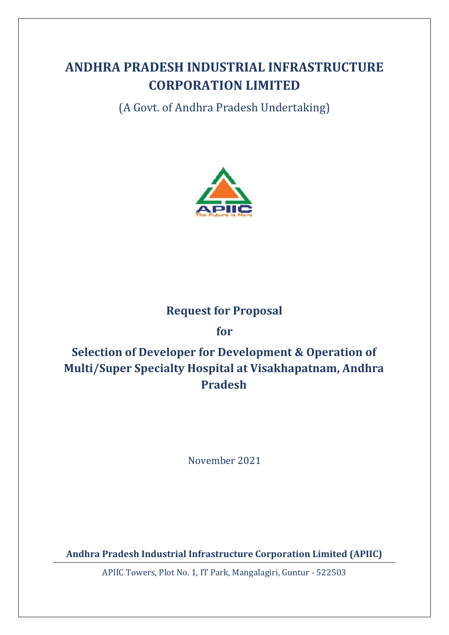# **ANDHRA PRADESH INDUSTRIAL INFRASTRUCTURE CORPORATION LIMITED**

(A Govt. of Andhra Pradesh Undertaking)



## **Request for Proposal**

**for**

# **Selection of Developer for Development & Operation of Multi/Super Specialty Hospital at Visakhapatnam, Andhra Pradesh**

November 2021

**Andhra Pradesh Industrial Infrastructure Corporation Limited (APIIC)**

APIIC Towers, Plot No. 1, IT Park, Mangalagiri, Guntur - 522503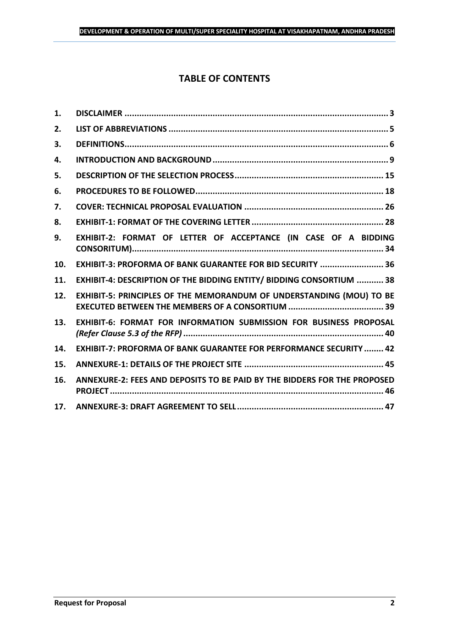## **TABLE OF CONTENTS**

| 1.  |                                                                           |
|-----|---------------------------------------------------------------------------|
| 2.  |                                                                           |
| 3.  |                                                                           |
| 4.  |                                                                           |
| 5.  |                                                                           |
| 6.  |                                                                           |
| 7.  |                                                                           |
| 8.  |                                                                           |
| 9.  | EXHIBIT-2: FORMAT OF LETTER OF ACCEPTANCE (IN CASE OF A BIDDING           |
| 10. | EXHIBIT-3: PROFORMA OF BANK GUARANTEE FOR BID SECURITY  36                |
| 11. | EXHIBIT-4: DESCRIPTION OF THE BIDDING ENTITY/ BIDDING CONSORTIUM  38      |
| 12. | EXHIBIT-5: PRINCIPLES OF THE MEMORANDUM OF UNDERSTANDING (MOU) TO BE      |
| 13. | EXHIBIT-6: FORMAT FOR INFORMATION SUBMISSION FOR BUSINESS PROPOSAL        |
| 14. | <b>EXHIBIT-7: PROFORMA OF BANK GUARANTEE FOR PERFORMANCE SECURITY  42</b> |
| 15. |                                                                           |
| 16. | ANNEXURE-2: FEES AND DEPOSITS TO BE PAID BY THE BIDDERS FOR THE PROPOSED  |
| 17. |                                                                           |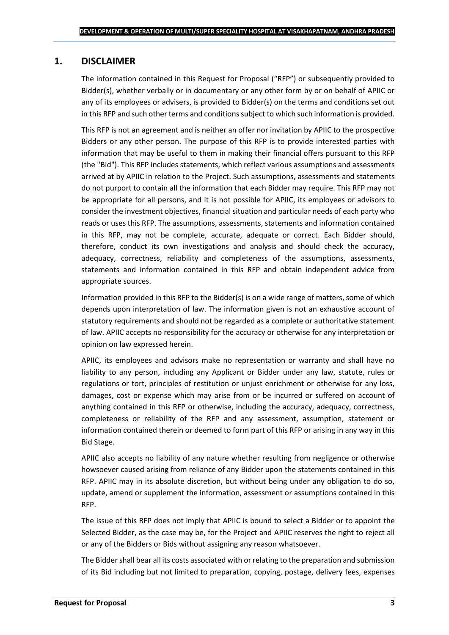## <span id="page-2-0"></span>**1. DISCLAIMER**

The information contained in this Request for Proposal ("RFP") or subsequently provided to Bidder(s), whether verbally or in documentary or any other form by or on behalf of APIIC or any of its employees or advisers, is provided to Bidder(s) on the terms and conditions set out in this RFP and such other terms and conditions subject to which such information is provided.

This RFP is not an agreement and is neither an offer nor invitation by APIIC to the prospective Bidders or any other person. The purpose of this RFP is to provide interested parties with information that may be useful to them in making their financial offers pursuant to this RFP (the "Bid"). This RFP includes statements, which reflect various assumptions and assessments arrived at by APIIC in relation to the Project. Such assumptions, assessments and statements do not purport to contain all the information that each Bidder may require. This RFP may not be appropriate for all persons, and it is not possible for APIIC, its employees or advisors to consider the investment objectives, financial situation and particular needs of each party who reads or uses this RFP. The assumptions, assessments, statements and information contained in this RFP, may not be complete, accurate, adequate or correct. Each Bidder should, therefore, conduct its own investigations and analysis and should check the accuracy, adequacy, correctness, reliability and completeness of the assumptions, assessments, statements and information contained in this RFP and obtain independent advice from appropriate sources.

Information provided in this RFP to the Bidder(s) is on a wide range of matters, some of which depends upon interpretation of law. The information given is not an exhaustive account of statutory requirements and should not be regarded as a complete or authoritative statement of law. APIIC accepts no responsibility for the accuracy or otherwise for any interpretation or opinion on law expressed herein.

APIIC, its employees and advisors make no representation or warranty and shall have no liability to any person, including any Applicant or Bidder under any law, statute, rules or regulations or tort, principles of restitution or unjust enrichment or otherwise for any loss, damages, cost or expense which may arise from or be incurred or suffered on account of anything contained in this RFP or otherwise, including the accuracy, adequacy, correctness, completeness or reliability of the RFP and any assessment, assumption, statement or information contained therein or deemed to form part of this RFP or arising in any way in this Bid Stage.

APIIC also accepts no liability of any nature whether resulting from negligence or otherwise howsoever caused arising from reliance of any Bidder upon the statements contained in this RFP. APIIC may in its absolute discretion, but without being under any obligation to do so, update, amend or supplement the information, assessment or assumptions contained in this RFP.

The issue of this RFP does not imply that APIIC is bound to select a Bidder or to appoint the Selected Bidder, as the case may be, for the Project and APIIC reserves the right to reject all or any of the Bidders or Bids without assigning any reason whatsoever.

The Bidder shall bear all its costs associated with or relating to the preparation and submission of its Bid including but not limited to preparation, copying, postage, delivery fees, expenses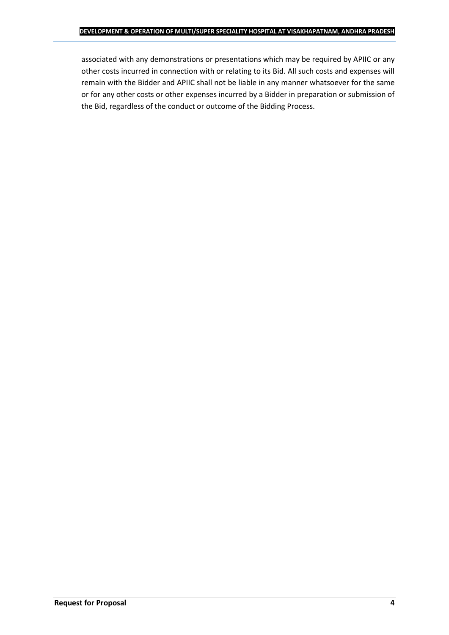associated with any demonstrations or presentations which may be required by APIIC or any other costs incurred in connection with or relating to its Bid. All such costs and expenses will remain with the Bidder and APIIC shall not be liable in any manner whatsoever for the same or for any other costs or other expenses incurred by a Bidder in preparation or submission of the Bid, regardless of the conduct or outcome of the Bidding Process.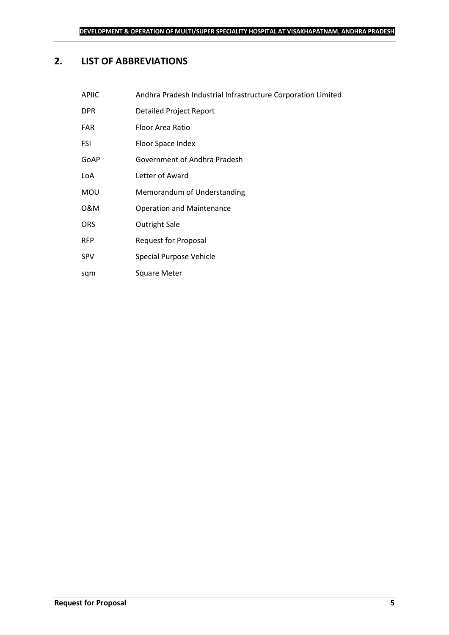## <span id="page-4-0"></span>**2. LIST OF ABBREVIATIONS**

| <b>APIIC</b> | Andhra Pradesh Industrial Infrastructure Corporation Limited |
|--------------|--------------------------------------------------------------|
| <b>DPR</b>   | Detailed Project Report                                      |
| <b>FAR</b>   | Floor Area Ratio                                             |
| FSI          | Floor Space Index                                            |
| GoAP         | Government of Andhra Pradesh                                 |
| LoA          | Letter of Award                                              |
| <b>MOU</b>   | Memorandum of Understanding                                  |
| 0&M          | <b>Operation and Maintenance</b>                             |
| <b>ORS</b>   | Outright Sale                                                |
| <b>RFP</b>   | <b>Request for Proposal</b>                                  |
| <b>SPV</b>   | Special Purpose Vehicle                                      |
|              |                                                              |

sqm Square Meter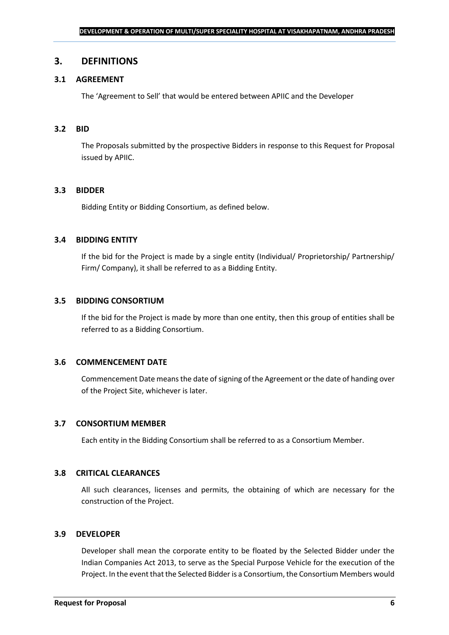#### <span id="page-5-0"></span>**3. DEFINITIONS**

#### **3.1 AGREEMENT**

The 'Agreement to Sell' that would be entered between APIIC and the Developer

#### **3.2 BID**

The Proposals submitted by the prospective Bidders in response to this Request for Proposal issued by APIIC.

#### **3.3 BIDDER**

Bidding Entity or Bidding Consortium, as defined below.

#### **3.4 BIDDING ENTITY**

If the bid for the Project is made by a single entity (Individual/ Proprietorship/ Partnership/ Firm/ Company), it shall be referred to as a Bidding Entity.

#### **3.5 BIDDING CONSORTIUM**

If the bid for the Project is made by more than one entity, then this group of entities shall be referred to as a Bidding Consortium.

#### **3.6 COMMENCEMENT DATE**

Commencement Date means the date of signing of the Agreement or the date of handing over of the Project Site, whichever is later.

#### **3.7 CONSORTIUM MEMBER**

Each entity in the Bidding Consortium shall be referred to as a Consortium Member.

#### **3.8 CRITICAL CLEARANCES**

All such clearances, licenses and permits, the obtaining of which are necessary for the construction of the Project.

#### **3.9 DEVELOPER**

Developer shall mean the corporate entity to be floated by the Selected Bidder under the Indian Companies Act 2013, to serve as the Special Purpose Vehicle for the execution of the Project. In the event that the Selected Bidder is a Consortium, the Consortium Members would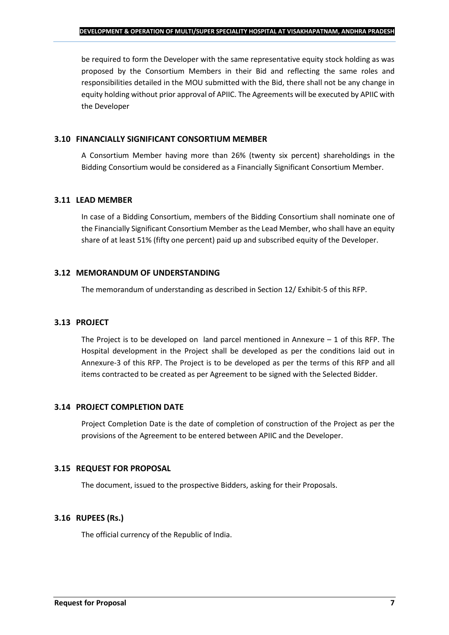be required to form the Developer with the same representative equity stock holding as was proposed by the Consortium Members in their Bid and reflecting the same roles and responsibilities detailed in the MOU submitted with the Bid, there shall not be any change in equity holding without prior approval of APIIC. The Agreements will be executed by APIIC with the Developer

### **3.10 FINANCIALLY SIGNIFICANT CONSORTIUM MEMBER**

A Consortium Member having more than 26% (twenty six percent) shareholdings in the Bidding Consortium would be considered as a Financially Significant Consortium Member.

## **3.11 LEAD MEMBER**

In case of a Bidding Consortium, members of the Bidding Consortium shall nominate one of the Financially Significant Consortium Member as the Lead Member, who shall have an equity share of at least 51% (fifty one percent) paid up and subscribed equity of the Developer.

### **3.12 MEMORANDUM OF UNDERSTANDING**

The memorandum of understanding as described in Section 12/ Exhibit-5 of this RFP.

## **3.13 PROJECT**

The Project is to be developed on land parcel mentioned in Annexure  $-1$  of this RFP. The Hospital development in the Project shall be developed as per the conditions laid out in Annexure-3 of this RFP. The Project is to be developed as per the terms of this RFP and all items contracted to be created as per Agreement to be signed with the Selected Bidder.

## **3.14 PROJECT COMPLETION DATE**

Project Completion Date is the date of completion of construction of the Project as per the provisions of the Agreement to be entered between APIIC and the Developer.

## **3.15 REQUEST FOR PROPOSAL**

The document, issued to the prospective Bidders, asking for their Proposals.

## **3.16 RUPEES (Rs.)**

The official currency of the Republic of India.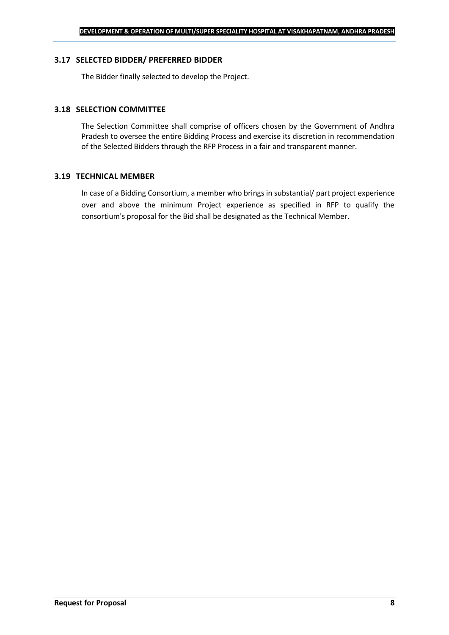#### **3.17 SELECTED BIDDER/ PREFERRED BIDDER**

The Bidder finally selected to develop the Project.

#### **3.18 SELECTION COMMITTEE**

The Selection Committee shall comprise of officers chosen by the Government of Andhra Pradesh to oversee the entire Bidding Process and exercise its discretion in recommendation of the Selected Bidders through the RFP Process in a fair and transparent manner.

#### **3.19 TECHNICAL MEMBER**

In case of a Bidding Consortium, a member who brings in substantial/ part project experience over and above the minimum Project experience as specified in RFP to qualify the consortium's proposal for the Bid shall be designated as the Technical Member.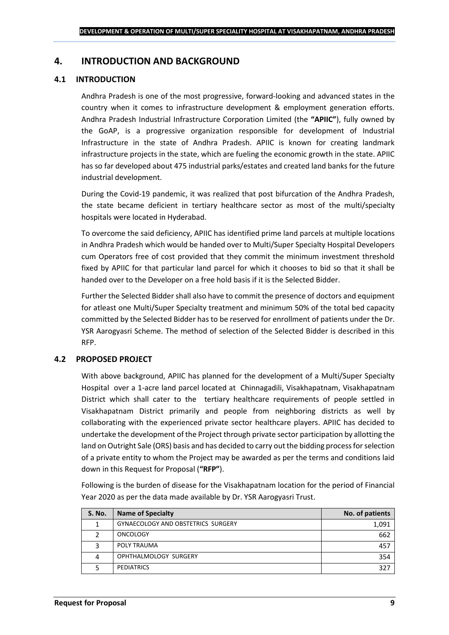## <span id="page-8-0"></span>**4. INTRODUCTION AND BACKGROUND**

### **4.1 INTRODUCTION**

Andhra Pradesh is one of the most progressive, forward-looking and advanced states in the country when it comes to infrastructure development & employment generation efforts. Andhra Pradesh Industrial Infrastructure Corporation Limited (the **"APIIC"**), fully owned by the GoAP, is a progressive organization responsible for development of Industrial Infrastructure in the state of Andhra Pradesh. APIIC is known for creating landmark infrastructure projects in the state, which are fueling the economic growth in the state. APIIC has so far developed about 475 industrial parks/estates and created land banks for the future industrial development.

During the Covid-19 pandemic, it was realized that post bifurcation of the Andhra Pradesh, the state became deficient in tertiary healthcare sector as most of the multi/specialty hospitals were located in Hyderabad.

To overcome the said deficiency, APIIC has identified prime land parcels at multiple locations in Andhra Pradesh which would be handed over to Multi/Super Specialty Hospital Developers cum Operators free of cost provided that they commit the minimum investment threshold fixed by APIIC for that particular land parcel for which it chooses to bid so that it shall be handed over to the Developer on a free hold basis if it is the Selected Bidder.

Further the Selected Bidder shall also have to commit the presence of doctors and equipment for atleast one Multi/Super Specialty treatment and minimum 50% of the total bed capacity committed by the Selected Bidder has to be reserved for enrollment of patients under the Dr. YSR Aarogyasri Scheme. The method of selection of the Selected Bidder is described in this RFP.

## **4.2 PROPOSED PROJECT**

With above background, APIIC has planned for the development of a Multi/Super Specialty Hospital over a 1-acre land parcel located at Chinnagadili, Visakhapatnam, Visakhapatnam District which shall cater to the tertiary healthcare requirements of people settled in Visakhapatnam District primarily and people from neighboring districts as well by collaborating with the experienced private sector healthcare players. APIIC has decided to undertake the development of the Project through private sector participation by allotting the land on Outright Sale (ORS) basis and has decided to carry out the bidding process for selection of a private entity to whom the Project may be awarded as per the terms and conditions laid down in this Request for Proposal (**"RFP"**).

Following is the burden of disease for the Visakhapatnam location for the period of Financial Year 2020 as per the data made available by Dr. YSR Aarogyasri Trust.

| <b>S. No.</b> | <b>Name of Specialty</b>           | No. of patients |
|---------------|------------------------------------|-----------------|
|               | GYNAECOLOGY AND OBSTETRICS SURGERY | 1,091           |
|               | <b>ONCOLOGY</b>                    | 662             |
|               | POLY TRAUMA                        | 457             |
| 4             | OPHTHALMOLOGY SURGERY              | 354             |
|               | <b>PEDIATRICS</b>                  | 327             |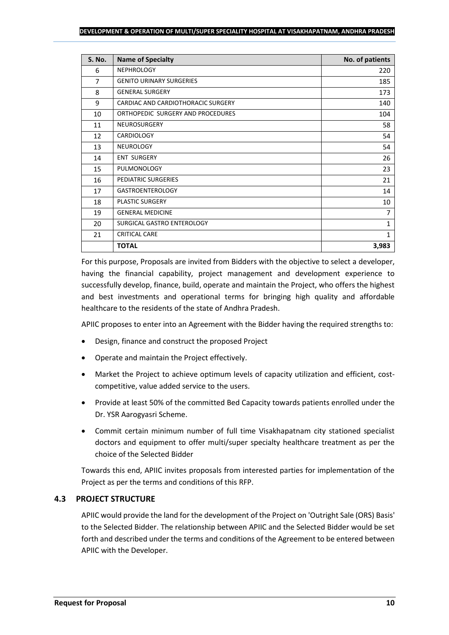| S. No.         | <b>Name of Specialty</b>           | No. of patients |
|----------------|------------------------------------|-----------------|
| 6              | <b>NEPHROLOGY</b>                  | 220             |
| $\overline{7}$ | <b>GENITO URINARY SURGERIES</b>    | 185             |
| 8              | <b>GENERAL SURGERY</b>             | 173             |
| 9              | CARDIAC AND CARDIOTHORACIC SURGERY | 140             |
| 10             | ORTHOPEDIC SURGERY AND PROCEDURES  | 104             |
| 11             | NEUROSURGERY                       | 58              |
| 12             | CARDIOLOGY                         | 54              |
| 13             | <b>NEUROLOGY</b>                   | 54              |
| 14             | <b>ENT SURGERY</b>                 | 26              |
| 15             | PULMONOLOGY                        | 23              |
| 16             | PEDIATRIC SURGERIES                | 21              |
| 17             | <b>GASTROENTEROLOGY</b>            | 14              |
| 18             | PLASTIC SURGERY                    | 10              |
| 19             | <b>GENERAL MEDICINE</b>            | $\overline{7}$  |
| 20             | SURGICAL GASTRO ENTEROLOGY         | 1               |
| 21             | <b>CRITICAL CARE</b>               | $\mathbf{1}$    |
|                | <b>TOTAL</b>                       | 3,983           |

For this purpose, Proposals are invited from Bidders with the objective to select a developer, having the financial capability, project management and development experience to successfully develop, finance, build, operate and maintain the Project, who offers the highest and best investments and operational terms for bringing high quality and affordable healthcare to the residents of the state of Andhra Pradesh.

APIIC proposes to enter into an Agreement with the Bidder having the required strengths to:

- Design, finance and construct the proposed Project
- Operate and maintain the Project effectively.
- Market the Project to achieve optimum levels of capacity utilization and efficient, costcompetitive, value added service to the users.
- Provide at least 50% of the committed Bed Capacity towards patients enrolled under the Dr. YSR Aarogyasri Scheme.
- Commit certain minimum number of full time Visakhapatnam city stationed specialist doctors and equipment to offer multi/super specialty healthcare treatment as per the choice of the Selected Bidder

Towards this end, APIIC invites proposals from interested parties for implementation of the Project as per the terms and conditions of this RFP.

#### **4.3 PROJECT STRUCTURE**

APIIC would provide the land for the development of the Project on 'Outright Sale (ORS) Basis' to the Selected Bidder. The relationship between APIIC and the Selected Bidder would be set forth and described under the terms and conditions of the Agreement to be entered between APIIC with the Developer.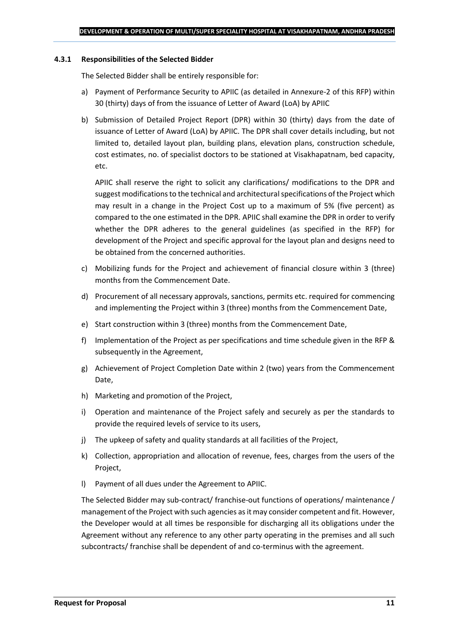#### **4.3.1 Responsibilities of the Selected Bidder**

The Selected Bidder shall be entirely responsible for:

- a) Payment of Performance Security to APIIC (as detailed in Annexure-2 of this RFP) within 30 (thirty) days of from the issuance of Letter of Award (LoA) by APIIC
- b) Submission of Detailed Project Report (DPR) within 30 (thirty) days from the date of issuance of Letter of Award (LoA) by APIIC. The DPR shall cover details including, but not limited to, detailed layout plan, building plans, elevation plans, construction schedule, cost estimates, no. of specialist doctors to be stationed at Visakhapatnam, bed capacity, etc.

APIIC shall reserve the right to solicit any clarifications/ modifications to the DPR and suggest modifications to the technical and architectural specifications of the Project which may result in a change in the Project Cost up to a maximum of 5% (five percent) as compared to the one estimated in the DPR. APIIC shall examine the DPR in order to verify whether the DPR adheres to the general guidelines (as specified in the RFP) for development of the Project and specific approval for the layout plan and designs need to be obtained from the concerned authorities.

- c) Mobilizing funds for the Project and achievement of financial closure within 3 (three) months from the Commencement Date.
- d) Procurement of all necessary approvals, sanctions, permits etc. required for commencing and implementing the Project within 3 (three) months from the Commencement Date,
- e) Start construction within 3 (three) months from the Commencement Date,
- f) Implementation of the Project as per specifications and time schedule given in the RFP & subsequently in the Agreement,
- g) Achievement of Project Completion Date within 2 (two) years from the Commencement Date,
- h) Marketing and promotion of the Project,
- i) Operation and maintenance of the Project safely and securely as per the standards to provide the required levels of service to its users,
- j) The upkeep of safety and quality standards at all facilities of the Project,
- k) Collection, appropriation and allocation of revenue, fees, charges from the users of the Project,
- l) Payment of all dues under the Agreement to APIIC.

The Selected Bidder may sub-contract/ franchise-out functions of operations/ maintenance / management of the Project with such agencies as it may consider competent and fit. However, the Developer would at all times be responsible for discharging all its obligations under the Agreement without any reference to any other party operating in the premises and all such subcontracts/ franchise shall be dependent of and co-terminus with the agreement.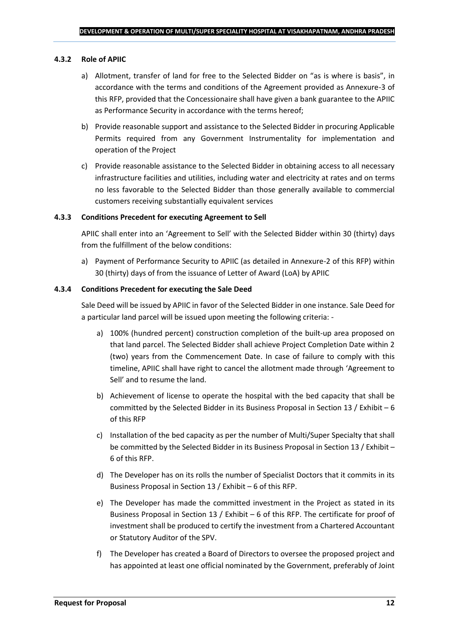#### **4.3.2 Role of APIIC**

- a) Allotment, transfer of land for free to the Selected Bidder on "as is where is basis", in accordance with the terms and conditions of the Agreement provided as Annexure-3 of this RFP, provided that the Concessionaire shall have given a bank guarantee to the APIIC as Performance Security in accordance with the terms hereof;
- b) Provide reasonable support and assistance to the Selected Bidder in procuring Applicable Permits required from any Government Instrumentality for implementation and operation of the Project
- c) Provide reasonable assistance to the Selected Bidder in obtaining access to all necessary infrastructure facilities and utilities, including water and electricity at rates and on terms no less favorable to the Selected Bidder than those generally available to commercial customers receiving substantially equivalent services

#### **4.3.3 Conditions Precedent for executing Agreement to Sell**

APIIC shall enter into an 'Agreement to Sell' with the Selected Bidder within 30 (thirty) days from the fulfillment of the below conditions:

a) Payment of Performance Security to APIIC (as detailed in Annexure-2 of this RFP) within 30 (thirty) days of from the issuance of Letter of Award (LoA) by APIIC

#### **4.3.4 Conditions Precedent for executing the Sale Deed**

Sale Deed will be issued by APIIC in favor of the Selected Bidder in one instance. Sale Deed for a particular land parcel will be issued upon meeting the following criteria: -

- a) 100% (hundred percent) construction completion of the built-up area proposed on that land parcel. The Selected Bidder shall achieve Project Completion Date within 2 (two) years from the Commencement Date. In case of failure to comply with this timeline, APIIC shall have right to cancel the allotment made through 'Agreement to Sell' and to resume the land.
- b) Achievement of license to operate the hospital with the bed capacity that shall be committed by the Selected Bidder in its Business Proposal in Section 13 / Exhibit – 6 of this RFP
- c) Installation of the bed capacity as per the number of Multi/Super Specialty that shall be committed by the Selected Bidder in its Business Proposal in Section 13 / Exhibit – 6 of this RFP.
- d) The Developer has on its rolls the number of Specialist Doctors that it commits in its Business Proposal in Section 13 / Exhibit – 6 of this RFP.
- e) The Developer has made the committed investment in the Project as stated in its Business Proposal in Section 13 / Exhibit – 6 of this RFP. The certificate for proof of investment shall be produced to certify the investment from a Chartered Accountant or Statutory Auditor of the SPV.
- f) The Developer has created a Board of Directors to oversee the proposed project and has appointed at least one official nominated by the Government, preferably of Joint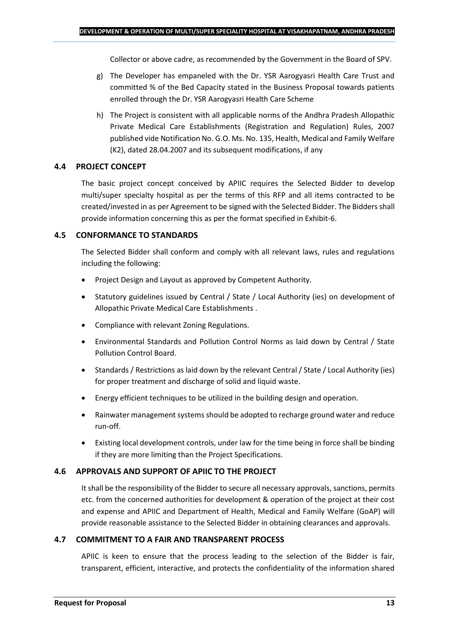Collector or above cadre, as recommended by the Government in the Board of SPV.

- g) The Developer has empaneled with the Dr. YSR Aarogyasri Health Care Trust and committed % of the Bed Capacity stated in the Business Proposal towards patients enrolled through the Dr. YSR Aarogyasri Health Care Scheme
- h) The Project is consistent with all applicable norms of the Andhra Pradesh Allopathic Private Medical Care Establishments (Registration and Regulation) Rules, 2007 published vide Notification No. G.O. Ms. No. 135, Health, Medical and Family Welfare (K2), dated 28.04.2007 and its subsequent modifications, if any

## **4.4 PROJECT CONCEPT**

The basic project concept conceived by APIIC requires the Selected Bidder to develop multi/super specialty hospital as per the terms of this RFP and all items contracted to be created/invested in as per Agreement to be signed with the Selected Bidder. The Bidders shall provide information concerning this as per the format specified in Exhibit-6.

## **4.5 CONFORMANCE TO STANDARDS**

The Selected Bidder shall conform and comply with all relevant laws, rules and regulations including the following:

- Project Design and Layout as approved by Competent Authority.
- Statutory guidelines issued by Central / State / Local Authority (ies) on development of Allopathic Private Medical Care Establishments .
- Compliance with relevant Zoning Regulations.
- Environmental Standards and Pollution Control Norms as laid down by Central / State Pollution Control Board.
- Standards / Restrictions as laid down by the relevant Central / State / Local Authority (ies) for proper treatment and discharge of solid and liquid waste.
- Energy efficient techniques to be utilized in the building design and operation.
- Rainwater management systems should be adopted to recharge ground water and reduce run-off.
- Existing local development controls, under law for the time being in force shall be binding if they are more limiting than the Project Specifications.

## **4.6 APPROVALS AND SUPPORT OF APIIC TO THE PROJECT**

It shall be the responsibility of the Bidder to secure all necessary approvals, sanctions, permits etc. from the concerned authorities for development & operation of the project at their cost and expense and APIIC and Department of Health, Medical and Family Welfare (GoAP) will provide reasonable assistance to the Selected Bidder in obtaining clearances and approvals.

## **4.7 COMMITMENT TO A FAIR AND TRANSPARENT PROCESS**

APIIC is keen to ensure that the process leading to the selection of the Bidder is fair, transparent, efficient, interactive, and protects the confidentiality of the information shared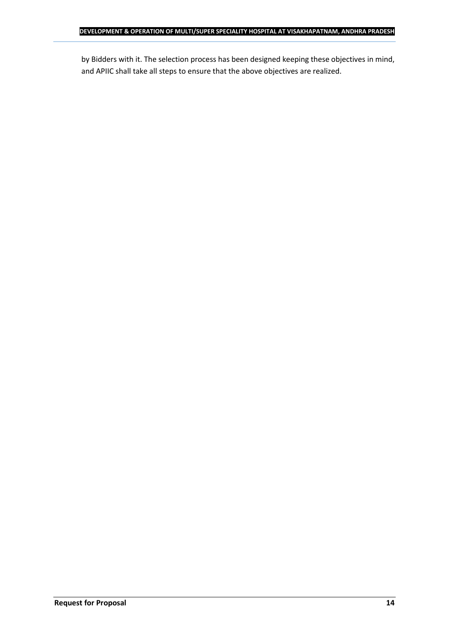by Bidders with it. The selection process has been designed keeping these objectives in mind, and APIIC shall take all steps to ensure that the above objectives are realized.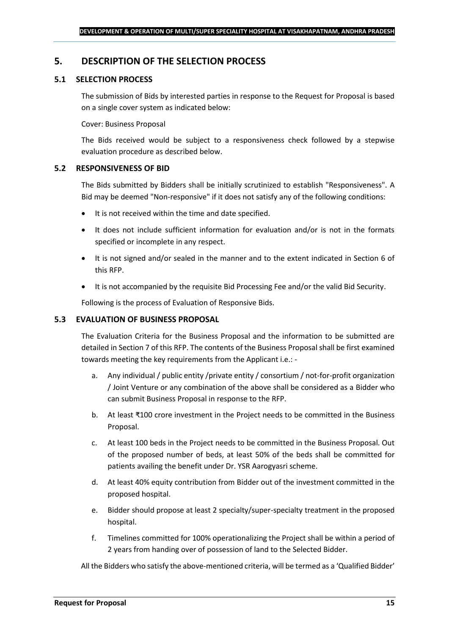## <span id="page-14-0"></span>**5. DESCRIPTION OF THE SELECTION PROCESS**

## **5.1 SELECTION PROCESS**

The submission of Bids by interested parties in response to the Request for Proposal is based on a single cover system as indicated below:

#### Cover: Business Proposal

The Bids received would be subject to a responsiveness check followed by a stepwise evaluation procedure as described below.

#### **5.2 RESPONSIVENESS OF BID**

The Bids submitted by Bidders shall be initially scrutinized to establish "Responsiveness". A Bid may be deemed "Non-responsive" if it does not satisfy any of the following conditions:

- It is not received within the time and date specified.
- It does not include sufficient information for evaluation and/or is not in the formats specified or incomplete in any respect.
- It is not signed and/or sealed in the manner and to the extent indicated in Section 6 of this RFP.
- It is not accompanied by the requisite Bid Processing Fee and/or the valid Bid Security.

Following is the process of Evaluation of Responsive Bids.

#### **5.3 EVALUATION OF BUSINESS PROPOSAL**

The Evaluation Criteria for the Business Proposal and the information to be submitted are detailed in Section 7 of this RFP. The contents of the Business Proposal shall be first examined towards meeting the key requirements from the Applicant i.e.: -

- a. Any individual / public entity / private entity / consortium / not-for-profit organization / Joint Venture or any combination of the above shall be considered as a Bidder who can submit Business Proposal in response to the RFP.
- b. At least ₹100 crore investment in the Project needs to be committed in the Business Proposal.
- c. At least 100 beds in the Project needs to be committed in the Business Proposal. Out of the proposed number of beds, at least 50% of the beds shall be committed for patients availing the benefit under Dr. YSR Aarogyasri scheme.
- d. At least 40% equity contribution from Bidder out of the investment committed in the proposed hospital.
- e. Bidder should propose at least 2 specialty/super-specialty treatment in the proposed hospital.
- f. Timelines committed for 100% operationalizing the Project shall be within a period of 2 years from handing over of possession of land to the Selected Bidder.

All the Bidders who satisfy the above-mentioned criteria, will be termed as a 'Qualified Bidder'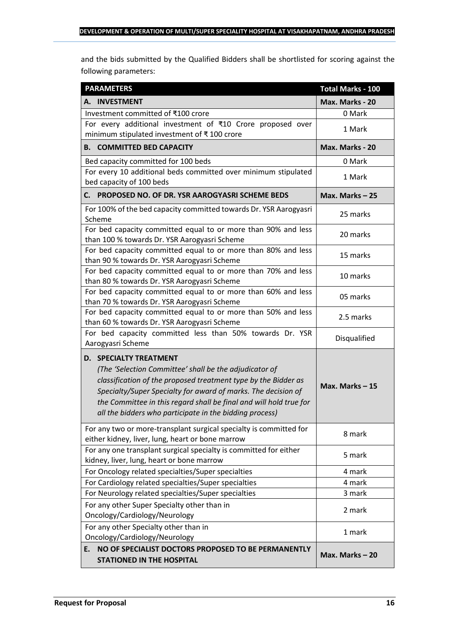and the bids submitted by the Qualified Bidders shall be shortlisted for scoring against the following parameters:

| <b>PARAMETERS</b>                                                                                                                                                                                                                                                                                                                                           | <b>Total Marks - 100</b> |
|-------------------------------------------------------------------------------------------------------------------------------------------------------------------------------------------------------------------------------------------------------------------------------------------------------------------------------------------------------------|--------------------------|
| A. INVESTMENT                                                                                                                                                                                                                                                                                                                                               | Max. Marks - 20          |
| Investment committed of ₹100 crore                                                                                                                                                                                                                                                                                                                          | 0 Mark                   |
| For every additional investment of ₹10 Crore proposed over<br>minimum stipulated investment of ₹100 crore                                                                                                                                                                                                                                                   | 1 Mark                   |
| <b>B. COMMITTED BED CAPACITY</b>                                                                                                                                                                                                                                                                                                                            | Max. Marks - 20          |
| Bed capacity committed for 100 beds                                                                                                                                                                                                                                                                                                                         | 0 Mark                   |
| For every 10 additional beds committed over minimum stipulated<br>bed capacity of 100 beds                                                                                                                                                                                                                                                                  | 1 Mark                   |
| PROPOSED NO. OF DR. YSR AAROGYASRI SCHEME BEDS<br>С. —                                                                                                                                                                                                                                                                                                      | Max. Marks $-25$         |
| For 100% of the bed capacity committed towards Dr. YSR Aarogyasri<br>Scheme                                                                                                                                                                                                                                                                                 | 25 marks                 |
| For bed capacity committed equal to or more than 90% and less<br>than 100 % towards Dr. YSR Aarogyasri Scheme                                                                                                                                                                                                                                               | 20 marks                 |
| For bed capacity committed equal to or more than 80% and less<br>than 90 % towards Dr. YSR Aarogyasri Scheme                                                                                                                                                                                                                                                | 15 marks                 |
| For bed capacity committed equal to or more than 70% and less<br>than 80 % towards Dr. YSR Aarogyasri Scheme                                                                                                                                                                                                                                                | 10 marks                 |
| For bed capacity committed equal to or more than 60% and less<br>than 70 % towards Dr. YSR Aarogyasri Scheme                                                                                                                                                                                                                                                | 05 marks                 |
| For bed capacity committed equal to or more than 50% and less<br>than 60 % towards Dr. YSR Aarogyasri Scheme                                                                                                                                                                                                                                                | 2.5 marks                |
| For bed capacity committed less than 50% towards Dr. YSR<br>Aarogyasri Scheme                                                                                                                                                                                                                                                                               | Disqualified             |
| <b>D. SPECIALTY TREATMENT</b><br>(The 'Selection Committee' shall be the adjudicator of<br>classification of the proposed treatment type by the Bidder as<br>Specialty/Super Specialty for award of marks. The decision of<br>the Committee in this regard shall be final and will hold true for<br>all the bidders who participate in the bidding process) | Max. Marks $-15$         |
| For any two or more-transplant surgical specialty is committed for<br>either kidney, liver, lung, heart or bone marrow                                                                                                                                                                                                                                      | 8 mark                   |
| For any one transplant surgical specialty is committed for either<br>kidney, liver, lung, heart or bone marrow                                                                                                                                                                                                                                              | 5 mark                   |
| For Oncology related specialties/Super specialties                                                                                                                                                                                                                                                                                                          | 4 mark                   |
| For Cardiology related specialties/Super specialties                                                                                                                                                                                                                                                                                                        | 4 mark                   |
| For Neurology related specialties/Super specialties                                                                                                                                                                                                                                                                                                         | 3 mark                   |
| For any other Super Specialty other than in<br>Oncology/Cardiology/Neurology                                                                                                                                                                                                                                                                                | 2 mark                   |
| For any other Specialty other than in<br>Oncology/Cardiology/Neurology                                                                                                                                                                                                                                                                                      | 1 mark                   |
| NO OF SPECIALIST DOCTORS PROPOSED TO BE PERMANENTLY<br>E.<br><b>STATIONED IN THE HOSPITAL</b>                                                                                                                                                                                                                                                               | Max. Marks-20            |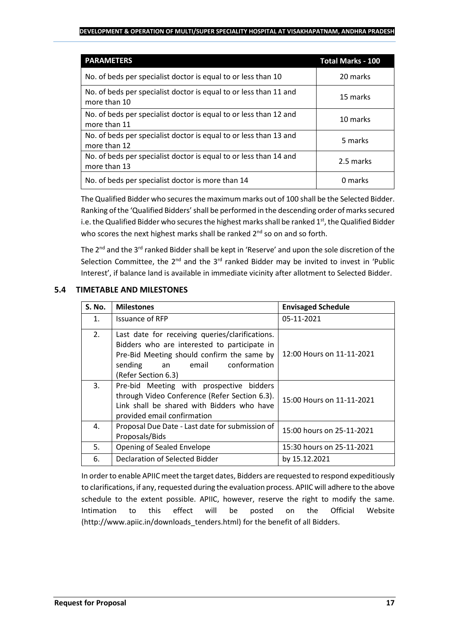#### **DEVELOPMENT & OPERATION OF MULTI/SUPER SPECIALITY HOSPITAL AT VISAKHAPATNAM, ANDHRA PRADESH**

| <b>PARAMETERS</b>                                                                 | <b>Total Marks - 100</b> |
|-----------------------------------------------------------------------------------|--------------------------|
| No. of beds per specialist doctor is equal to or less than 10                     | 20 marks                 |
| No. of beds per specialist doctor is equal to or less than 11 and<br>more than 10 | 15 marks                 |
| No. of beds per specialist doctor is equal to or less than 12 and<br>more than 11 | 10 marks                 |
| No. of beds per specialist doctor is equal to or less than 13 and<br>more than 12 | 5 marks                  |
| No. of beds per specialist doctor is equal to or less than 14 and<br>more than 13 | 2.5 marks                |
| No. of beds per specialist doctor is more than 14                                 | 0 marks                  |

The Qualified Bidder who secures the maximum marks out of 100 shall be the Selected Bidder. Ranking of the 'Qualified Bidders'shall be performed in the descending order of marks secured i.e. the Qualified Bidder who secures the highest marks shall be ranked 1<sup>st</sup>, the Qualified Bidder who scores the next highest marks shall be ranked 2<sup>nd</sup> so on and so forth.

The  $2^{nd}$  and the  $3^{rd}$  ranked Bidder shall be kept in 'Reserve' and upon the sole discretion of the Selection Committee, the  $2^{nd}$  and the  $3^{rd}$  ranked Bidder may be invited to invest in 'Public Interest', if balance land is available in immediate vicinity after allotment to Selected Bidder.

## **5.4 TIMETABLE AND MILESTONES**

| <b>S. No.</b> | <b>Milestones</b>                                                                                                                                                                                              | <b>Envisaged Schedule</b> |
|---------------|----------------------------------------------------------------------------------------------------------------------------------------------------------------------------------------------------------------|---------------------------|
| 1.            | Issuance of RFP                                                                                                                                                                                                | 05-11-2021                |
| 2.            | Last date for receiving queries/clarifications.<br>Bidders who are interested to participate in<br>Pre-Bid Meeting should confirm the same by<br>conformation<br>sending<br>email<br>an<br>(Refer Section 6.3) | 12:00 Hours on 11-11-2021 |
| 3.            | Pre-bid Meeting with prospective bidders<br>through Video Conference (Refer Section 6.3).<br>Link shall be shared with Bidders who have<br>provided email confirmation                                         | 15:00 Hours on 11-11-2021 |
| 4.            | Proposal Due Date - Last date for submission of<br>Proposals/Bids                                                                                                                                              | 15:00 hours on 25-11-2021 |
| 5.            | Opening of Sealed Envelope                                                                                                                                                                                     | 15:30 hours on 25-11-2021 |
| 6.            | Declaration of Selected Bidder                                                                                                                                                                                 | by 15.12.2021             |

In order to enable APIIC meet the target dates, Bidders are requested to respond expeditiously to clarifications, if any, requested during the evaluation process. APIIC will adhere to the above schedule to the extent possible. APIIC, however, reserve the right to modify the same. Intimation to this effect will be posted on the Official Website (http://www.apiic.in/downloads\_tenders.html) for the benefit of all Bidders.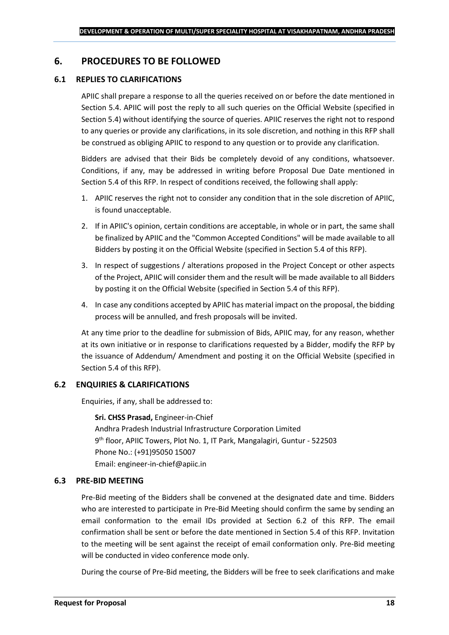## <span id="page-17-0"></span>**6. PROCEDURES TO BE FOLLOWED**

### **6.1 REPLIES TO CLARIFICATIONS**

APIIC shall prepare a response to all the queries received on or before the date mentioned in Section 5.4. APIIC will post the reply to all such queries on the Official Website (specified in Section 5.4) without identifying the source of queries. APIIC reserves the right not to respond to any queries or provide any clarifications, in its sole discretion, and nothing in this RFP shall be construed as obliging APIIC to respond to any question or to provide any clarification.

Bidders are advised that their Bids be completely devoid of any conditions, whatsoever. Conditions, if any, may be addressed in writing before Proposal Due Date mentioned in Section 5.4 of this RFP. In respect of conditions received, the following shall apply:

- 1. APIIC reserves the right not to consider any condition that in the sole discretion of APIIC, is found unacceptable.
- 2. If in APIIC's opinion, certain conditions are acceptable, in whole or in part, the same shall be finalized by APIIC and the "Common Accepted Conditions" will be made available to all Bidders by posting it on the Official Website (specified in Section 5.4 of this RFP).
- 3. In respect of suggestions / alterations proposed in the Project Concept or other aspects of the Project, APIIC will consider them and the result will be made available to all Bidders by posting it on the Official Website (specified in Section 5.4 of this RFP).
- 4. In case any conditions accepted by APIIC has material impact on the proposal, the bidding process will be annulled, and fresh proposals will be invited.

At any time prior to the deadline for submission of Bids, APIIC may, for any reason, whether at its own initiative or in response to clarifications requested by a Bidder, modify the RFP by the issuance of Addendum/ Amendment and posting it on the Official Website (specified in Section 5.4 of this RFP).

## **6.2 ENQUIRIES & CLARIFICATIONS**

Enquiries, if any, shall be addressed to:

**Sri. CHSS Prasad,** Engineer-in-Chief Andhra Pradesh Industrial Infrastructure Corporation Limited 9 th floor, APIIC Towers, Plot No. 1, IT Park, Mangalagiri, Guntur - 522503 Phone No.: (+91)95050 15007 Email: engineer-in-chief@apiic.in

#### **6.3 PRE-BID MEETING**

Pre-Bid meeting of the Bidders shall be convened at the designated date and time. Bidders who are interested to participate in Pre-Bid Meeting should confirm the same by sending an email conformation to the email IDs provided at Section 6.2 of this RFP. The email confirmation shall be sent or before the date mentioned in Section 5.4 of this RFP. Invitation to the meeting will be sent against the receipt of email conformation only. Pre-Bid meeting will be conducted in video conference mode only.

During the course of Pre-Bid meeting, the Bidders will be free to seek clarifications and make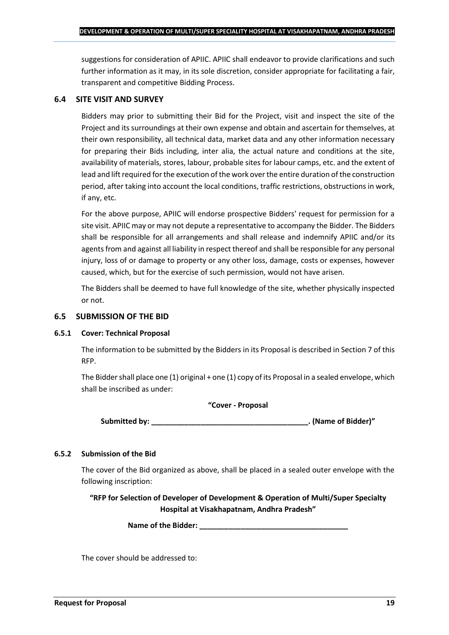suggestions for consideration of APIIC. APIIC shall endeavor to provide clarifications and such further information as it may, in its sole discretion, consider appropriate for facilitating a fair, transparent and competitive Bidding Process.

#### **6.4 SITE VISIT AND SURVEY**

Bidders may prior to submitting their Bid for the Project, visit and inspect the site of the Project and its surroundings at their own expense and obtain and ascertain for themselves, at their own responsibility, all technical data, market data and any other information necessary for preparing their Bids including, inter alia, the actual nature and conditions at the site, availability of materials, stores, labour, probable sites for labour camps, etc. and the extent of lead and lift required for the execution of the work over the entire duration of the construction period, after taking into account the local conditions, traffic restrictions, obstructions in work, if any, etc.

For the above purpose, APIIC will endorse prospective Bidders' request for permission for a site visit. APIIC may or may not depute a representative to accompany the Bidder. The Bidders shall be responsible for all arrangements and shall release and indemnify APIIC and/or its agents from and against all liability in respect thereof and shall be responsible for any personal injury, loss of or damage to property or any other loss, damage, costs or expenses, however caused, which, but for the exercise of such permission, would not have arisen.

The Bidders shall be deemed to have full knowledge of the site, whether physically inspected or not.

#### **6.5 SUBMISSION OF THE BID**

#### **6.5.1 Cover: Technical Proposal**

The information to be submitted by the Bidders in its Proposal is described in Section 7 of this RFP.

The Bidder shall place one (1) original + one (1) copy of its Proposal in a sealed envelope, which shall be inscribed as under:

#### **"Cover - Proposal**

**Submitted by: \_\_\_\_\_\_\_\_\_\_\_\_\_\_\_\_\_\_\_\_\_\_\_\_\_\_\_\_\_\_\_\_\_\_\_\_\_\_. (Name of Bidder)"**

## **6.5.2 Submission of the Bid**

The cover of the Bid organized as above, shall be placed in a sealed outer envelope with the following inscription:

**"RFP for Selection of Developer of Development & Operation of Multi/Super Specialty Hospital at Visakhapatnam, Andhra Pradesh"**

Name of the Bidder: **We are also asset to a set of the Bidder:** 

The cover should be addressed to: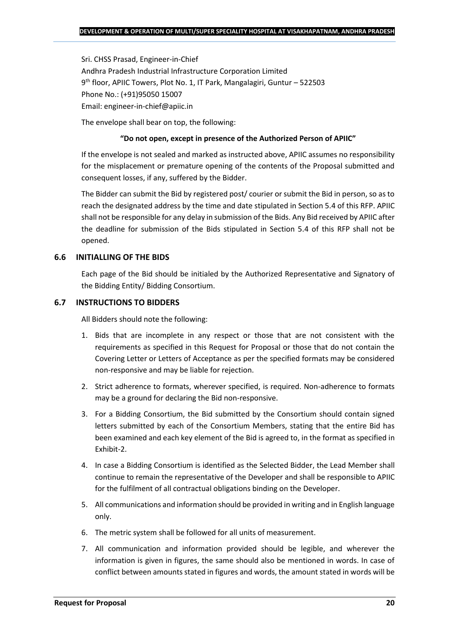Sri. CHSS Prasad, Engineer-in-Chief Andhra Pradesh Industrial Infrastructure Corporation Limited 9 th floor, APIIC Towers, Plot No. 1, IT Park, Mangalagiri, Guntur – 522503 Phone No.: (+91)95050 15007 Email: engineer-in-chief@apiic.in

The envelope shall bear on top, the following:

#### **"Do not open, except in presence of the Authorized Person of APIIC"**

If the envelope is not sealed and marked as instructed above, APIIC assumes no responsibility for the misplacement or premature opening of the contents of the Proposal submitted and consequent losses, if any, suffered by the Bidder.

The Bidder can submit the Bid by registered post/ courier or submit the Bid in person, so as to reach the designated address by the time and date stipulated in Section 5.4 of this RFP. APIIC shall not be responsible for any delay in submission of the Bids. Any Bid received by APIIC after the deadline for submission of the Bids stipulated in Section 5.4 of this RFP shall not be opened.

#### **6.6 INITIALLING OF THE BIDS**

Each page of the Bid should be initialed by the Authorized Representative and Signatory of the Bidding Entity/ Bidding Consortium.

#### **6.7 INSTRUCTIONS TO BIDDERS**

All Bidders should note the following:

- 1. Bids that are incomplete in any respect or those that are not consistent with the requirements as specified in this Request for Proposal or those that do not contain the Covering Letter or Letters of Acceptance as per the specified formats may be considered non-responsive and may be liable for rejection.
- 2. Strict adherence to formats, wherever specified, is required. Non-adherence to formats may be a ground for declaring the Bid non-responsive.
- 3. For a Bidding Consortium, the Bid submitted by the Consortium should contain signed letters submitted by each of the Consortium Members, stating that the entire Bid has been examined and each key element of the Bid is agreed to, in the format as specified in Exhibit-2.
- 4. In case a Bidding Consortium is identified as the Selected Bidder, the Lead Member shall continue to remain the representative of the Developer and shall be responsible to APIIC for the fulfilment of all contractual obligations binding on the Developer.
- 5. All communications and information should be provided in writing and in English language only.
- 6. The metric system shall be followed for all units of measurement.
- 7. All communication and information provided should be legible, and wherever the information is given in figures, the same should also be mentioned in words. In case of conflict between amounts stated in figures and words, the amount stated in words will be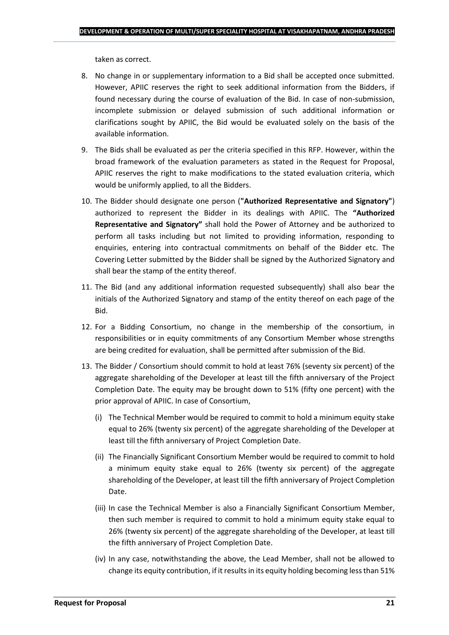taken as correct.

- 8. No change in or supplementary information to a Bid shall be accepted once submitted. However, APIIC reserves the right to seek additional information from the Bidders, if found necessary during the course of evaluation of the Bid. In case of non-submission, incomplete submission or delayed submission of such additional information or clarifications sought by APIIC, the Bid would be evaluated solely on the basis of the available information.
- 9. The Bids shall be evaluated as per the criteria specified in this RFP. However, within the broad framework of the evaluation parameters as stated in the Request for Proposal, APIIC reserves the right to make modifications to the stated evaluation criteria, which would be uniformly applied, to all the Bidders.
- 10. The Bidder should designate one person (**"Authorized Representative and Signatory"**) authorized to represent the Bidder in its dealings with APIIC. The **"Authorized Representative and Signatory"** shall hold the Power of Attorney and be authorized to perform all tasks including but not limited to providing information, responding to enquiries, entering into contractual commitments on behalf of the Bidder etc. The Covering Letter submitted by the Bidder shall be signed by the Authorized Signatory and shall bear the stamp of the entity thereof.
- 11. The Bid (and any additional information requested subsequently) shall also bear the initials of the Authorized Signatory and stamp of the entity thereof on each page of the Bid.
- 12. For a Bidding Consortium, no change in the membership of the consortium, in responsibilities or in equity commitments of any Consortium Member whose strengths are being credited for evaluation, shall be permitted after submission of the Bid.
- 13. The Bidder / Consortium should commit to hold at least 76% (seventy six percent) of the aggregate shareholding of the Developer at least till the fifth anniversary of the Project Completion Date. The equity may be brought down to 51% (fifty one percent) with the prior approval of APIIC. In case of Consortium,
	- (i) The Technical Member would be required to commit to hold a minimum equity stake equal to 26% (twenty six percent) of the aggregate shareholding of the Developer at least till the fifth anniversary of Project Completion Date.
	- (ii) The Financially Significant Consortium Member would be required to commit to hold a minimum equity stake equal to 26% (twenty six percent) of the aggregate shareholding of the Developer, at least till the fifth anniversary of Project Completion Date.
	- (iii) In case the Technical Member is also a Financially Significant Consortium Member, then such member is required to commit to hold a minimum equity stake equal to 26% (twenty six percent) of the aggregate shareholding of the Developer, at least till the fifth anniversary of Project Completion Date.
	- (iv) In any case, notwithstanding the above, the Lead Member, shall not be allowed to change its equity contribution, if it results in its equity holding becoming less than 51%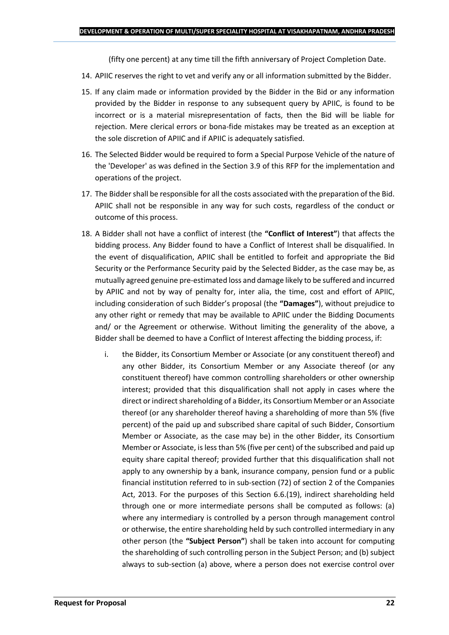(fifty one percent) at any time till the fifth anniversary of Project Completion Date.

- 14. APIIC reserves the right to vet and verify any or all information submitted by the Bidder.
- 15. If any claim made or information provided by the Bidder in the Bid or any information provided by the Bidder in response to any subsequent query by APIIC, is found to be incorrect or is a material misrepresentation of facts, then the Bid will be liable for rejection. Mere clerical errors or bona-fide mistakes may be treated as an exception at the sole discretion of APIIC and if APIIC is adequately satisfied.
- 16. The Selected Bidder would be required to form a Special Purpose Vehicle of the nature of the 'Developer' as was defined in the Section 3.9 of this RFP for the implementation and operations of the project.
- 17. The Bidder shall be responsible for all the costs associated with the preparation of the Bid. APIIC shall not be responsible in any way for such costs, regardless of the conduct or outcome of this process.
- 18. A Bidder shall not have a conflict of interest (the **"Conflict of Interest"**) that affects the bidding process. Any Bidder found to have a Conflict of Interest shall be disqualified. In the event of disqualification, APIIC shall be entitled to forfeit and appropriate the Bid Security or the Performance Security paid by the Selected Bidder, as the case may be, as mutually agreed genuine pre-estimated loss and damage likely to be suffered and incurred by APIIC and not by way of penalty for, inter alia, the time, cost and effort of APIIC, including consideration of such Bidder's proposal (the **"Damages"**), without prejudice to any other right or remedy that may be available to APIIC under the Bidding Documents and/ or the Agreement or otherwise. Without limiting the generality of the above, a Bidder shall be deemed to have a Conflict of Interest affecting the bidding process, if:
	- i. the Bidder, its Consortium Member or Associate (or any constituent thereof) and any other Bidder, its Consortium Member or any Associate thereof (or any constituent thereof) have common controlling shareholders or other ownership interest; provided that this disqualification shall not apply in cases where the direct or indirect shareholding of a Bidder, its Consortium Member or an Associate thereof (or any shareholder thereof having a shareholding of more than 5% (five percent) of the paid up and subscribed share capital of such Bidder, Consortium Member or Associate, as the case may be) in the other Bidder, its Consortium Member or Associate, is less than 5% (five per cent) of the subscribed and paid up equity share capital thereof; provided further that this disqualification shall not apply to any ownership by a bank, insurance company, pension fund or a public financial institution referred to in sub-section (72) of section 2 of the Companies Act, 2013. For the purposes of this Section 6.6.(19), indirect shareholding held through one or more intermediate persons shall be computed as follows: (a) where any intermediary is controlled by a person through management control or otherwise, the entire shareholding held by such controlled intermediary in any other person (the **"Subject Person"**) shall be taken into account for computing the shareholding of such controlling person in the Subject Person; and (b) subject always to sub-section (a) above, where a person does not exercise control over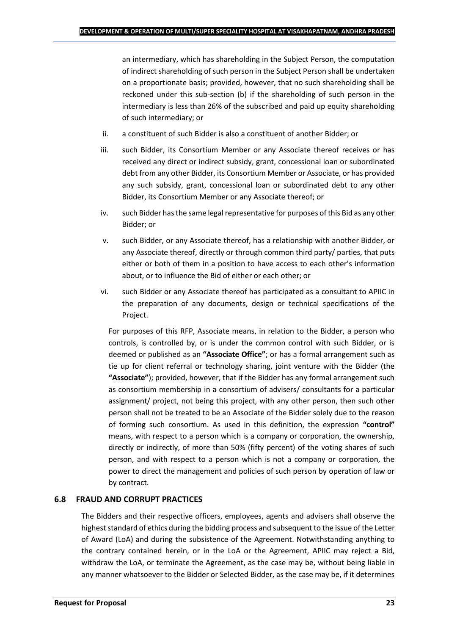an intermediary, which has shareholding in the Subject Person, the computation of indirect shareholding of such person in the Subject Person shall be undertaken on a proportionate basis; provided, however, that no such shareholding shall be reckoned under this sub-section (b) if the shareholding of such person in the intermediary is less than 26% of the subscribed and paid up equity shareholding of such intermediary; or

- ii. a constituent of such Bidder is also a constituent of another Bidder; or
- iii. such Bidder, its Consortium Member or any Associate thereof receives or has received any direct or indirect subsidy, grant, concessional loan or subordinated debt from any other Bidder, its Consortium Member or Associate, or has provided any such subsidy, grant, concessional loan or subordinated debt to any other Bidder, its Consortium Member or any Associate thereof; or
- iv. such Bidder has the same legal representative for purposes of this Bid as any other Bidder; or
- v. such Bidder, or any Associate thereof, has a relationship with another Bidder, or any Associate thereof, directly or through common third party/ parties, that puts either or both of them in a position to have access to each other's information about, or to influence the Bid of either or each other; or
- vi. such Bidder or any Associate thereof has participated as a consultant to APIIC in the preparation of any documents, design or technical specifications of the Project.

For purposes of this RFP, Associate means, in relation to the Bidder, a person who controls, is controlled by, or is under the common control with such Bidder, or is deemed or published as an **"Associate Office"**; or has a formal arrangement such as tie up for client referral or technology sharing, joint venture with the Bidder (the **"Associate"**); provided, however, that if the Bidder has any formal arrangement such as consortium membership in a consortium of advisers/ consultants for a particular assignment/ project, not being this project, with any other person, then such other person shall not be treated to be an Associate of the Bidder solely due to the reason of forming such consortium. As used in this definition, the expression **"control"**  means, with respect to a person which is a company or corporation, the ownership, directly or indirectly, of more than 50% (fifty percent) of the voting shares of such person, and with respect to a person which is not a company or corporation, the power to direct the management and policies of such person by operation of law or by contract.

## **6.8 FRAUD AND CORRUPT PRACTICES**

The Bidders and their respective officers, employees, agents and advisers shall observe the highest standard of ethics during the bidding process and subsequent to the issue of the Letter of Award (LoA) and during the subsistence of the Agreement. Notwithstanding anything to the contrary contained herein, or in the LoA or the Agreement, APIIC may reject a Bid, withdraw the LoA, or terminate the Agreement, as the case may be, without being liable in any manner whatsoever to the Bidder or Selected Bidder, as the case may be, if it determines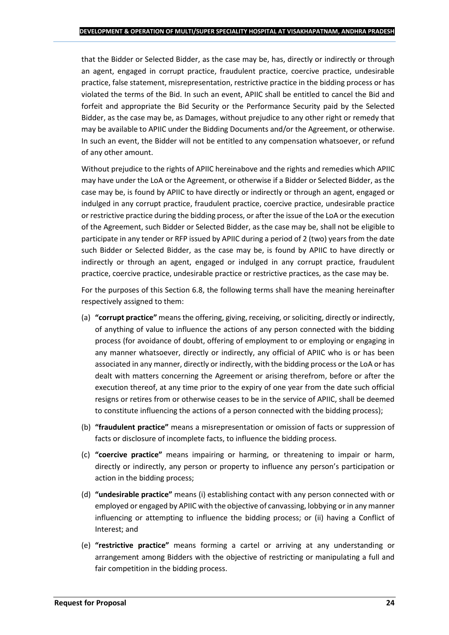that the Bidder or Selected Bidder, as the case may be, has, directly or indirectly or through an agent, engaged in corrupt practice, fraudulent practice, coercive practice, undesirable practice, false statement, misrepresentation, restrictive practice in the bidding process or has violated the terms of the Bid. In such an event, APIIC shall be entitled to cancel the Bid and forfeit and appropriate the Bid Security or the Performance Security paid by the Selected Bidder, as the case may be, as Damages, without prejudice to any other right or remedy that may be available to APIIC under the Bidding Documents and/or the Agreement, or otherwise. In such an event, the Bidder will not be entitled to any compensation whatsoever, or refund of any other amount.

Without prejudice to the rights of APIIC hereinabove and the rights and remedies which APIIC may have under the LoA or the Agreement, or otherwise if a Bidder or Selected Bidder, as the case may be, is found by APIIC to have directly or indirectly or through an agent, engaged or indulged in any corrupt practice, fraudulent practice, coercive practice, undesirable practice or restrictive practice during the bidding process, or after the issue of the LoA or the execution of the Agreement, such Bidder or Selected Bidder, as the case may be, shall not be eligible to participate in any tender or RFP issued by APIIC during a period of 2 (two) years from the date such Bidder or Selected Bidder, as the case may be, is found by APIIC to have directly or indirectly or through an agent, engaged or indulged in any corrupt practice, fraudulent practice, coercive practice, undesirable practice or restrictive practices, as the case may be.

For the purposes of this Section 6.8, the following terms shall have the meaning hereinafter respectively assigned to them:

- (a) **"corrupt practice"** means the offering, giving, receiving, or soliciting, directly or indirectly, of anything of value to influence the actions of any person connected with the bidding process (for avoidance of doubt, offering of employment to or employing or engaging in any manner whatsoever, directly or indirectly, any official of APIIC who is or has been associated in any manner, directly or indirectly, with the bidding process or the LoA or has dealt with matters concerning the Agreement or arising therefrom, before or after the execution thereof, at any time prior to the expiry of one year from the date such official resigns or retires from or otherwise ceases to be in the service of APIIC, shall be deemed to constitute influencing the actions of a person connected with the bidding process);
- (b) **"fraudulent practice"** means a misrepresentation or omission of facts or suppression of facts or disclosure of incomplete facts, to influence the bidding process.
- (c) **"coercive practice"** means impairing or harming, or threatening to impair or harm, directly or indirectly, any person or property to influence any person's participation or action in the bidding process;
- (d) **"undesirable practice"** means (i) establishing contact with any person connected with or employed or engaged by APIIC with the objective of canvassing, lobbying or in any manner influencing or attempting to influence the bidding process; or (ii) having a Conflict of Interest; and
- (e) **"restrictive practice"** means forming a cartel or arriving at any understanding or arrangement among Bidders with the objective of restricting or manipulating a full and fair competition in the bidding process.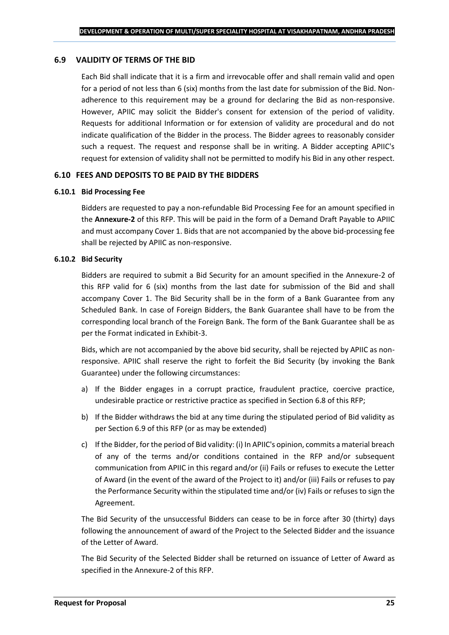#### **6.9 VALIDITY OF TERMS OF THE BID**

Each Bid shall indicate that it is a firm and irrevocable offer and shall remain valid and open for a period of not less than 6 (six) months from the last date for submission of the Bid. Nonadherence to this requirement may be a ground for declaring the Bid as non-responsive. However, APIIC may solicit the Bidder's consent for extension of the period of validity. Requests for additional Information or for extension of validity are procedural and do not indicate qualification of the Bidder in the process. The Bidder agrees to reasonably consider such a request. The request and response shall be in writing. A Bidder accepting APIIC's request for extension of validity shall not be permitted to modify his Bid in any other respect.

#### **6.10 FEES AND DEPOSITS TO BE PAID BY THE BIDDERS**

#### **6.10.1 Bid Processing Fee**

Bidders are requested to pay a non-refundable Bid Processing Fee for an amount specified in the **Annexure-2** of this RFP. This will be paid in the form of a Demand Draft Payable to APIIC and must accompany Cover 1. Bids that are not accompanied by the above bid-processing fee shall be rejected by APIIC as non-responsive.

#### **6.10.2 Bid Security**

Bidders are required to submit a Bid Security for an amount specified in the Annexure-2 of this RFP valid for 6 (six) months from the last date for submission of the Bid and shall accompany Cover 1. The Bid Security shall be in the form of a Bank Guarantee from any Scheduled Bank. In case of Foreign Bidders, the Bank Guarantee shall have to be from the corresponding local branch of the Foreign Bank. The form of the Bank Guarantee shall be as per the Format indicated in Exhibit-3.

Bids, which are not accompanied by the above bid security, shall be rejected by APIIC as nonresponsive. APIIC shall reserve the right to forfeit the Bid Security (by invoking the Bank Guarantee) under the following circumstances:

- a) If the Bidder engages in a corrupt practice, fraudulent practice, coercive practice, undesirable practice or restrictive practice as specified in Section 6.8 of this RFP;
- b) If the Bidder withdraws the bid at any time during the stipulated period of Bid validity as per Section 6.9 of this RFP (or as may be extended)
- c) If the Bidder, for the period of Bid validity: (i) In APIIC's opinion, commits a material breach of any of the terms and/or conditions contained in the RFP and/or subsequent communication from APIIC in this regard and/or (ii) Fails or refuses to execute the Letter of Award (in the event of the award of the Project to it) and/or (iii) Fails or refuses to pay the Performance Security within the stipulated time and/or (iv) Fails or refuses to sign the Agreement.

The Bid Security of the unsuccessful Bidders can cease to be in force after 30 (thirty) days following the announcement of award of the Project to the Selected Bidder and the issuance of the Letter of Award.

The Bid Security of the Selected Bidder shall be returned on issuance of Letter of Award as specified in the Annexure-2 of this RFP.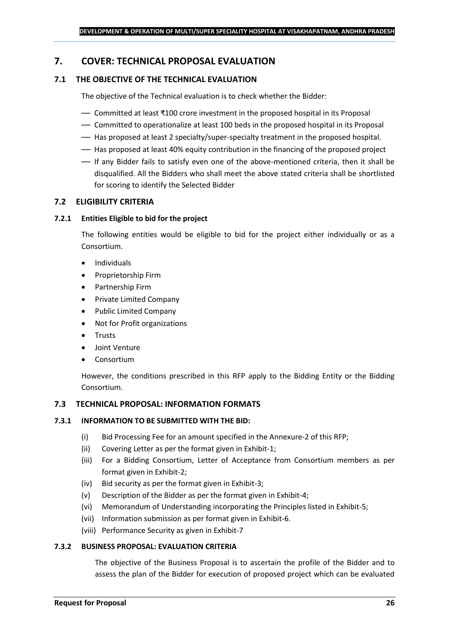## <span id="page-25-0"></span>**7. COVER: TECHNICAL PROPOSAL EVALUATION**

## **7.1 THE OBJECTIVE OF THE TECHNICAL EVALUATION**

The objective of the Technical evaluation is to check whether the Bidder:

- Committed at least ₹100 crore investment in the proposed hospital in its Proposal
- Committed to operationalize at least 100 beds in the proposed hospital in its Proposal
- Has proposed at least 2 specialty/super-specialty treatment in the proposed hospital.
- Has proposed at least 40% equity contribution in the financing of the proposed project
- If any Bidder fails to satisfy even one of the above-mentioned criteria, then it shall be disqualified. All the Bidders who shall meet the above stated criteria shall be shortlisted for scoring to identify the Selected Bidder

## **7.2 ELIGIBILITY CRITERIA**

#### **7.2.1 Entities Eligible to bid for the project**

The following entities would be eligible to bid for the project either individually or as a Consortium.

- Individuals
- Proprietorship Firm
- Partnership Firm
- Private Limited Company
- Public Limited Company
- Not for Profit organizations
- Trusts
- Joint Venture
- **Consortium**

However, the conditions prescribed in this RFP apply to the Bidding Entity or the Bidding Consortium.

#### **7.3 TECHNICAL PROPOSAL: INFORMATION FORMATS**

#### **7.3.1 INFORMATION TO BE SUBMITTED WITH THE BID:**

- (i) Bid Processing Fee for an amount specified in the Annexure-2 of this RFP;
- (ii) Covering Letter as per the format given in Exhibit-1;
- (iii) For a Bidding Consortium, Letter of Acceptance from Consortium members as per format given in Exhibit-2;
- (iv) Bid security as per the format given in Exhibit-3;
- (v) Description of the Bidder as per the format given in Exhibit-4;
- (vi) Memorandum of Understanding incorporating the Principles listed in Exhibit-5;
- (vii) Information submission as per format given in Exhibit-6.
- (viii) Performance Security as given in Exhibit-7

#### **7.3.2 BUSINESS PROPOSAL: EVALUATION CRITERIA**

The objective of the Business Proposal is to ascertain the profile of the Bidder and to assess the plan of the Bidder for execution of proposed project which can be evaluated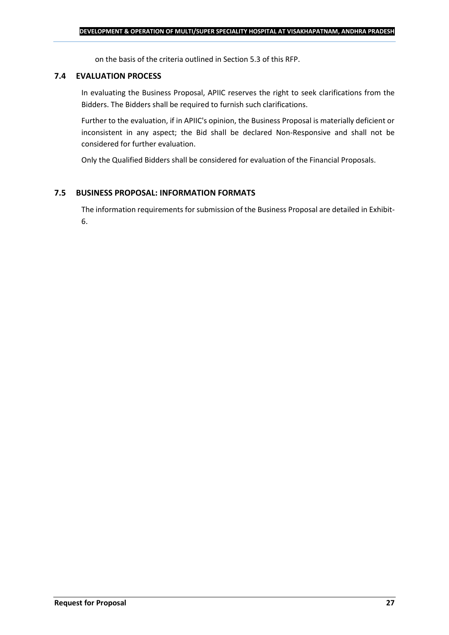on the basis of the criteria outlined in Section 5.3 of this RFP.

#### **7.4 EVALUATION PROCESS**

In evaluating the Business Proposal, APIIC reserves the right to seek clarifications from the Bidders. The Bidders shall be required to furnish such clarifications.

Further to the evaluation, if in APIIC's opinion, the Business Proposal is materially deficient or inconsistent in any aspect; the Bid shall be declared Non-Responsive and shall not be considered for further evaluation.

Only the Qualified Bidders shall be considered for evaluation of the Financial Proposals.

#### **7.5 BUSINESS PROPOSAL: INFORMATION FORMATS**

The information requirements for submission of the Business Proposal are detailed in Exhibit-6.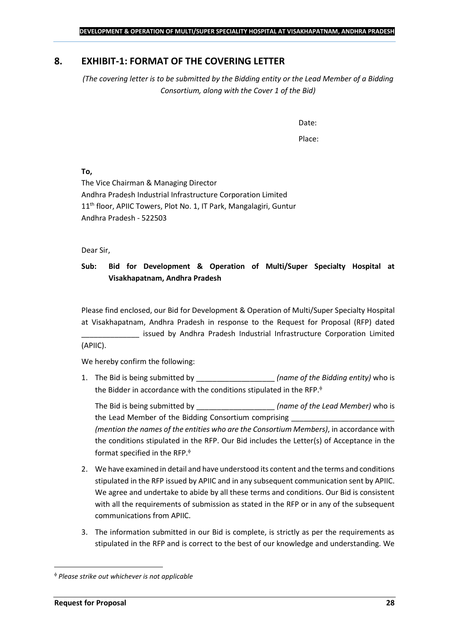## <span id="page-27-0"></span>**8. EXHIBIT-1: FORMAT OF THE COVERING LETTER**

*(The covering letter is to be submitted by the Bidding entity or the Lead Member of a Bidding Consortium, along with the Cover 1 of the Bid)*

Date:

Place:

**To,**

The Vice Chairman & Managing Director Andhra Pradesh Industrial Infrastructure Corporation Limited 11<sup>th</sup> floor, APIIC Towers, Plot No. 1, IT Park, Mangalagiri, Guntur Andhra Pradesh - 522503

Dear Sir,

## **Sub: Bid for Development & Operation of Multi/Super Specialty Hospital at Visakhapatnam, Andhra Pradesh**

Please find enclosed, our Bid for Development & Operation of Multi/Super Specialty Hospital at Visakhapatnam, Andhra Pradesh in response to the Request for Proposal (RFP) dated issued by Andhra Pradesh Industrial Infrastructure Corporation Limited (APIIC).

We hereby confirm the following:

1. The Bid is being submitted by **the interval in the Sidding entity**) who is the Bidder in accordance with the conditions stipulated in the RFP.

The Bid is being submitted by **the inclusive in the Solution Contract Contract Contract Contract Contract Contract Contract Contract Contract Contract Contract Contract Contract Contract Contract Contract Contract Contract** the Lead Member of the Bidding Consortium comprising *(mention the names of the entities who are the Consortium Members)*, in accordance with the conditions stipulated in the RFP. Our Bid includes the Letter(s) of Acceptance in the format specified in the RFP.

- 2. We have examined in detail and have understood its content and the terms and conditions stipulated in the RFP issued by APIIC and in any subsequent communication sent by APIIC. We agree and undertake to abide by all these terms and conditions. Our Bid is consistent with all the requirements of submission as stated in the RFP or in any of the subsequent communications from APIIC.
- 3. The information submitted in our Bid is complete, is strictly as per the requirements as stipulated in the RFP and is correct to the best of our knowledge and understanding. We

*Please strike out whichever is not applicable*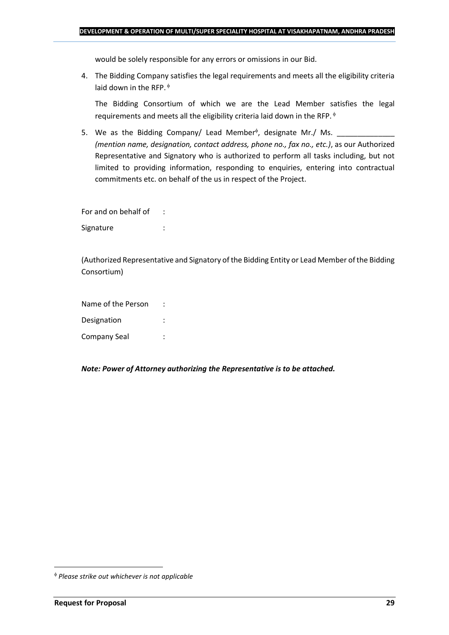would be solely responsible for any errors or omissions in our Bid.

4. The Bidding Company satisfies the legal requirements and meets all the eligibility criteria laid down in the RFP.  $\phi$ 

The Bidding Consortium of which we are the Lead Member satisfies the legal requirements and meets all the eligibility criteria laid down in the RFP.

5. We as the Bidding Company/ Lead Member<sup> $\phi$ </sup>, designate Mr./ Ms.  $\frac{1}{\sqrt{1-\frac{1}{2}}\sqrt{1-\frac{1}{2}}\sqrt{1-\frac{1}{2}}\sqrt{1-\frac{1}{2}}\sqrt{1-\frac{1}{2}}\sqrt{1-\frac{1}{2}}\sqrt{1-\frac{1}{2}}\sqrt{1-\frac{1}{2}}\sqrt{1-\frac{1}{2}}\sqrt{1-\frac{1}{2}}\sqrt{1-\frac{1}{2}}\sqrt{1-\frac{1}{2}}\sqrt{1-\frac{1}{2}}\sqrt{1$ *(mention name, designation, contact address, phone no., fax no., etc.)*, as our Authorized Representative and Signatory who is authorized to perform all tasks including, but not limited to providing information, responding to enquiries, entering into contractual commitments etc. on behalf of the us in respect of the Project.

For and on behalf of : Signature : the state of the state of the state of the state of the state of the state of the state of the state of the state of the state of the state of the state of the state of the state of the state of the state of th

(Authorized Representative and Signatory of the Bidding Entity or Lead Member of the Bidding Consortium)

Name of the Person : Designation : Company Seal :

*Note: Power of Attorney authorizing the Representative is to be attached.*

*Please strike out whichever is not applicable*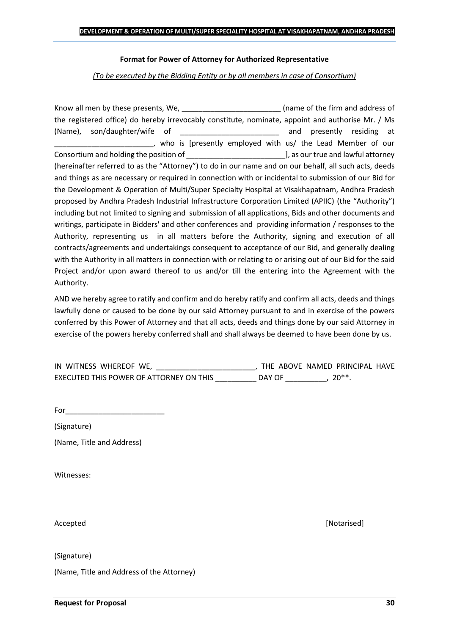#### **Format for Power of Attorney for Authorized Representative**

*(To be executed by the Bidding Entity or by all members in case of Consortium)*

Know all men by these presents, We, the state of the firm and address of the registered office) do hereby irrevocably constitute, nominate, appoint and authorise Mr. / Ms (Name), son/daughter/wife of \_\_\_\_\_\_\_\_\_\_\_\_\_\_\_\_\_\_\_\_\_\_\_\_ and presently residing at who is [presently employed with us/ the Lead Member of our Consortium and holding the position of  $\Box$  . The position of  $\Box$  as our true and lawful attorney (hereinafter referred to as the "Attorney") to do in our name and on our behalf, all such acts, deeds and things as are necessary or required in connection with or incidental to submission of our Bid for the Development & Operation of Multi/Super Specialty Hospital at Visakhapatnam, Andhra Pradesh proposed by Andhra Pradesh Industrial Infrastructure Corporation Limited (APIIC) (the "Authority") including but not limited to signing and submission of all applications, Bids and other documents and writings, participate in Bidders' and other conferences and providing information / responses to the Authority, representing us in all matters before the Authority, signing and execution of all contracts/agreements and undertakings consequent to acceptance of our Bid, and generally dealing with the Authority in all matters in connection with or relating to or arising out of our Bid for the said Project and/or upon award thereof to us and/or till the entering into the Agreement with the Authority.

AND we hereby agree to ratify and confirm and do hereby ratify and confirm all acts, deeds and things lawfully done or caused to be done by our said Attorney pursuant to and in exercise of the powers conferred by this Power of Attorney and that all acts, deeds and things done by our said Attorney in exercise of the powers hereby conferred shall and shall always be deemed to have been done by us.

| IN WITNESS WHEREOF WE,                  |        | THE ABOVE NAMED PRINCIPAL HAVE |  |
|-----------------------------------------|--------|--------------------------------|--|
| EXECUTED THIS POWER OF ATTORNEY ON THIS | DAY OF | $20**$                         |  |

For\_\_\_\_\_\_\_\_\_\_\_\_\_\_\_\_\_\_\_\_\_\_\_\_

(Signature)

(Name, Title and Address)

Witnesses:

Accepted [Notarised]

(Signature)

(Name, Title and Address of the Attorney)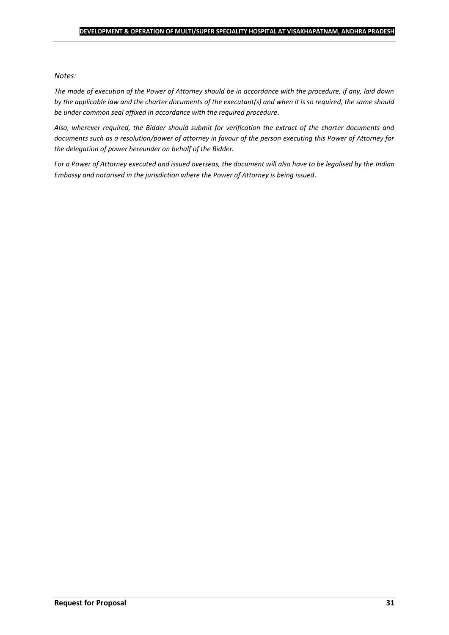#### *Notes:*

*The mode of execution of the Power of Attorney should be in accordance with the procedure, if any, laid down by the applicable law and the charter documents of the executant(s) and when it is so required, the same should be under common seal affixed in accordance with the required procedure*.

*Also, wherever required, the Bidder should submit for verification the extract of the charter documents and documents such as a resolution/power of attorney in favour of the person executing this Power of Attorney for the delegation of power hereunder on behalf of the Bidder.* 

For a Power of Attorney executed and issued overseas, the document will also have to be legalised by the *Indian Embassy and notarised in the jurisdiction where the Power of Attorney is being issued.*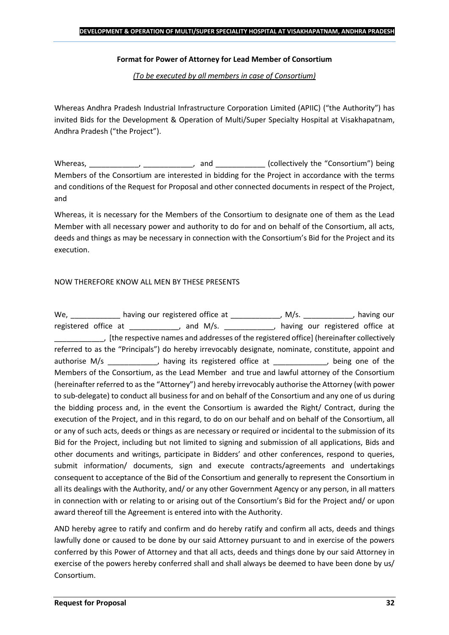#### **Format for Power of Attorney for Lead Member of Consortium**

*(To be executed by all members in case of Consortium)*

Whereas Andhra Pradesh Industrial Infrastructure Corporation Limited (APIIC) ("the Authority") has invited Bids for the Development & Operation of Multi/Super Specialty Hospital at Visakhapatnam, Andhra Pradesh ("the Project").

Whereas, \_\_\_\_\_\_\_\_\_\_\_\_, \_\_\_\_\_\_\_\_\_\_\_, and \_\_\_\_\_\_\_\_\_\_\_\_ (collectively the "Consortium") being Members of the Consortium are interested in bidding for the Project in accordance with the terms and conditions of the Request for Proposal and other connected documents in respect of the Project, and

Whereas, it is necessary for the Members of the Consortium to designate one of them as the Lead Member with all necessary power and authority to do for and on behalf of the Consortium, all acts, deeds and things as may be necessary in connection with the Consortium's Bid for the Project and its execution.

### NOW THEREFORE KNOW ALL MEN BY THESE PRESENTS

We, \_\_\_\_\_\_\_\_\_\_\_\_\_ having our registered office at \_\_\_\_\_\_\_\_\_\_\_\_\_, M/s. \_\_\_\_\_\_\_\_\_\_\_, having our registered office at \_\_\_\_\_\_\_\_\_\_, and M/s. \_\_\_\_\_\_\_\_\_\_, having our registered office at \_\_\_\_\_\_\_\_\_\_\_\_, [the respective names and addresses of the registered office] (hereinafter collectively referred to as the "Principals") do hereby irrevocably designate, nominate, constitute, appoint and authorise M/s \_\_\_\_\_\_\_\_\_\_\_, having its registered office at  $\qquad \qquad$ , being one of the Members of the Consortium, as the Lead Member and true and lawful attorney of the Consortium (hereinafter referred to as the "Attorney") and hereby irrevocably authorise the Attorney (with power to sub-delegate) to conduct all business for and on behalf of the Consortium and any one of us during the bidding process and, in the event the Consortium is awarded the Right/ Contract, during the execution of the Project, and in this regard, to do on our behalf and on behalf of the Consortium, all or any of such acts, deeds or things as are necessary or required or incidental to the submission of its Bid for the Project, including but not limited to signing and submission of all applications, Bids and other documents and writings, participate in Bidders' and other conferences, respond to queries, submit information/ documents, sign and execute contracts/agreements and undertakings consequent to acceptance of the Bid of the Consortium and generally to represent the Consortium in all its dealings with the Authority, and/ or any other Government Agency or any person, in all matters in connection with or relating to or arising out of the Consortium's Bid for the Project and/ or upon award thereof till the Agreement is entered into with the Authority.

AND hereby agree to ratify and confirm and do hereby ratify and confirm all acts, deeds and things lawfully done or caused to be done by our said Attorney pursuant to and in exercise of the powers conferred by this Power of Attorney and that all acts, deeds and things done by our said Attorney in exercise of the powers hereby conferred shall and shall always be deemed to have been done by us/ Consortium.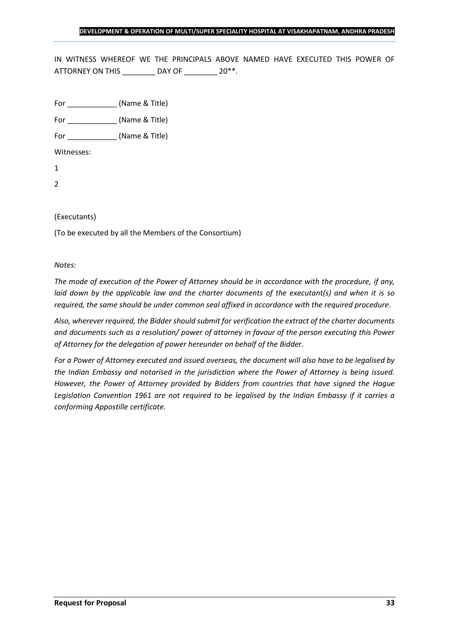IN WITNESS WHEREOF WE THE PRINCIPALS ABOVE NAMED HAVE EXECUTED THIS POWER OF ATTORNEY ON THIS \_\_\_\_\_\_\_\_ DAY OF \_\_\_\_\_\_\_ 20\*\*.

For \_\_\_\_\_\_\_\_\_\_\_\_ (Name & Title)

For  $(Name & Title)$ 

Witnesses:

1

2

### (Executants)

(To be executed by all the Members of the Consortium)

#### *Notes:*

*The mode of execution of the Power of Attorney should be in accordance with the procedure, if any, laid down by the applicable law and the charter documents of the executant(s) and when it is so required, the same should be under common seal affixed in accordance with the required procedure*.

*Also, wherever required, the Bidder should submit for verification the extract of the charter documents and documents such as a resolution/ power of attorney in favour of the person executing this Power of Attorney for the delegation of power hereunder on behalf of the Bidder.* 

*For a Power of Attorney executed and issued overseas, the document will also have to be legalised by the Indian Embassy and notarised in the jurisdiction where the Power of Attorney is being issued. However, the Power of Attorney provided by Bidders from countries that have signed the Hague Legislation Convention 1961 are not required to be legalised by the Indian Embassy if it carries a conforming Appostille certificate.*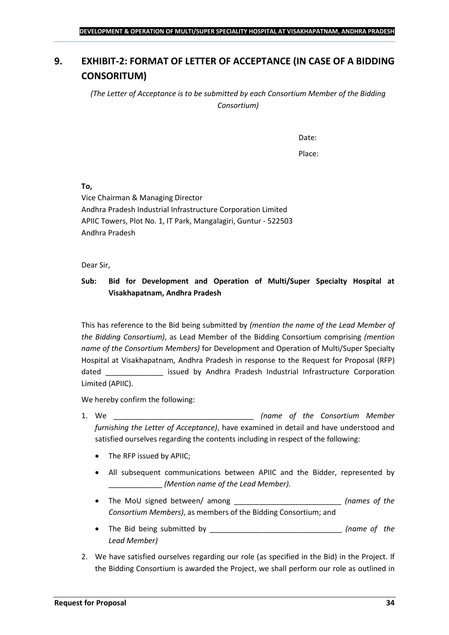## <span id="page-33-0"></span>**9. EXHIBIT-2: FORMAT OF LETTER OF ACCEPTANCE (IN CASE OF A BIDDING CONSORITUM)**

*(The Letter of Acceptance is to be submitted by each Consortium Member of the Bidding Consortium)*

Date:

Place:

**To,**

Vice Chairman & Managing Director Andhra Pradesh Industrial Infrastructure Corporation Limited APIIC Towers, Plot No. 1, IT Park, Mangalagiri, Guntur - 522503 Andhra Pradesh

Dear Sir,

## **Sub: Bid for Development and Operation of Multi/Super Specialty Hospital at Visakhapatnam, Andhra Pradesh**

This has reference to the Bid being submitted by *(mention the name of the Lead Member of the Bidding Consortium)*, as Lead Member of the Bidding Consortium comprising *(mention name of the Consortium Members)* for Development and Operation of Multi/Super Specialty Hospital at Visakhapatnam, Andhra Pradesh in response to the Request for Proposal (RFP) dated \_\_\_\_\_\_\_\_\_\_\_\_\_\_ issued by Andhra Pradesh Industrial Infrastructure Corporation Limited (APIIC).

We hereby confirm the following:

- 1. We \_\_\_\_\_\_\_\_\_\_\_\_\_\_\_\_\_\_\_\_\_\_\_\_\_\_\_\_\_\_\_\_\_\_ *(name of the Consortium Member furnishing the Letter of Acceptance)*, have examined in detail and have understood and satisfied ourselves regarding the contents including in respect of the following:
	- The RFP issued by APIIC;
	- All subsequent communications between APIIC and the Bidder, represented by \_\_\_\_\_\_\_\_\_\_\_\_\_ *(Mention name of the Lead Member)*.
	- The MoU signed between/ among \_\_\_\_\_\_\_\_\_\_\_\_\_\_\_\_\_\_\_\_\_\_\_\_\_\_ *(names of the Consortium Members)*, as members of the Bidding Consortium; and
	- The Bid being submitted by \_\_\_\_\_\_\_\_\_\_\_\_\_\_\_\_\_\_\_\_\_\_\_\_\_\_\_\_\_\_\_\_ *(name of the Lead Member)*
- 2. We have satisfied ourselves regarding our role (as specified in the Bid) in the Project. If the Bidding Consortium is awarded the Project, we shall perform our role as outlined in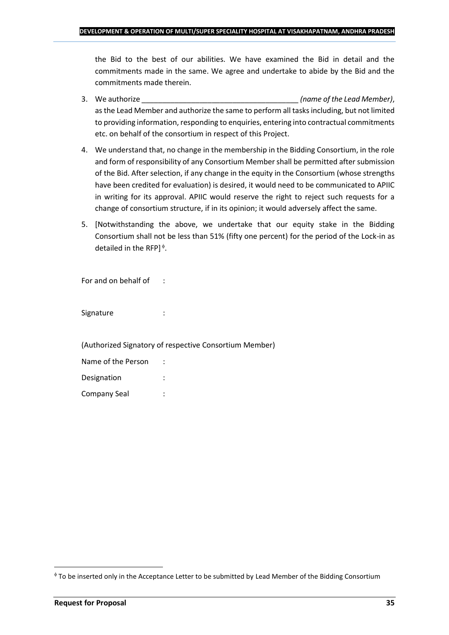the Bid to the best of our abilities. We have examined the Bid in detail and the commitments made in the same. We agree and undertake to abide by the Bid and the commitments made therein.

- 3. We authorize \_\_\_\_\_\_\_\_\_\_\_\_\_\_\_\_\_\_\_\_\_\_\_\_\_\_\_\_\_\_\_\_\_\_\_\_\_\_ *(name of the Lead Member)*, as the Lead Member and authorize the same to perform all tasks including, but not limited to providing information, responding to enquiries, entering into contractual commitments etc. on behalf of the consortium in respect of this Project.
- 4. We understand that, no change in the membership in the Bidding Consortium, in the role and form of responsibility of any Consortium Member shall be permitted after submission of the Bid. After selection, if any change in the equity in the Consortium (whose strengths have been credited for evaluation) is desired, it would need to be communicated to APIIC in writing for its approval. APIIC would reserve the right to reject such requests for a change of consortium structure, if in its opinion; it would adversely affect the same.
- 5. [Notwithstanding the above, we undertake that our equity stake in the Bidding Consortium shall not be less than 51% (fifty one percent) for the period of the Lock-in as detailed in the RFP] $\triangle$ .

For and on behalf of :

Signature : :

(Authorized Signatory of respective Consortium Member)

| Name of the Person |  |
|--------------------|--|
| Designation        |  |
| Company Seal       |  |

To be inserted only in the Acceptance Letter to be submitted by Lead Member of the Bidding Consortium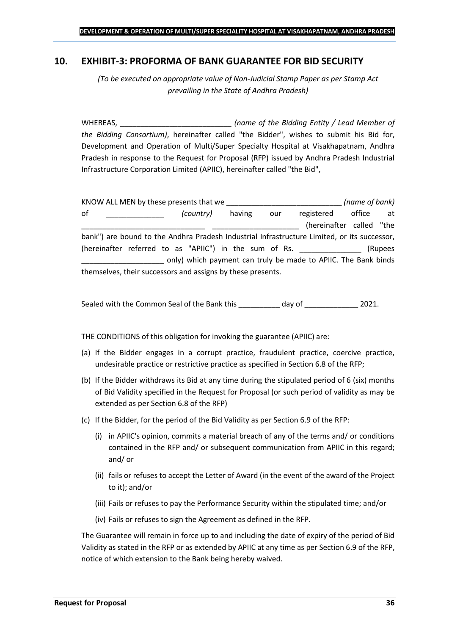### <span id="page-35-0"></span>**10. EXHIBIT-3: PROFORMA OF BANK GUARANTEE FOR BID SECURITY**

*(To be executed on appropriate value of Non-Judicial Stamp Paper as per Stamp Act prevailing in the State of Andhra Pradesh)*

WHEREAS, \_\_\_\_\_\_\_\_\_\_\_\_\_\_\_\_\_\_\_\_\_\_\_\_\_\_\_ *(name of the Bidding Entity / Lead Member of the Bidding Consortium)*, hereinafter called "the Bidder", wishes to submit his Bid for, Development and Operation of Multi/Super Specialty Hospital at Visakhapatnam, Andhra Pradesh in response to the Request for Proposal (RFP) issued by Andhra Pradesh Industrial Infrastructure Corporation Limited (APIIC), hereinafter called "the Bid",

KNOW ALL MEN by these presents that we \_\_\_\_\_\_\_\_\_\_\_\_\_\_\_\_\_\_\_\_\_\_\_\_\_\_\_\_ *(name of bank)* of \_\_\_\_\_\_\_\_\_\_\_\_\_\_ *(country)* having our registered office at (hereinafter called "the bank") are bound to the Andhra Pradesh Industrial Infrastructure Limited, or its successor, (hereinafter referred to as "APIIC") in the sum of Rs. \_\_\_\_\_\_\_\_\_\_\_\_\_\_\_ (Rupees \_\_\_\_\_\_\_\_\_\_\_\_\_\_\_\_\_\_\_\_ only) which payment can truly be made to APIIC. The Bank binds themselves, their successors and assigns by these presents.

Sealed with the Common Seal of the Bank this day of  $2021$ .

THE CONDITIONS of this obligation for invoking the guarantee (APIIC) are:

- (a) If the Bidder engages in a corrupt practice, fraudulent practice, coercive practice, undesirable practice or restrictive practice as specified in Section 6.8 of the RFP;
- (b) If the Bidder withdraws its Bid at any time during the stipulated period of 6 (six) months of Bid Validity specified in the Request for Proposal (or such period of validity as may be extended as per Section 6.8 of the RFP)
- (c) If the Bidder, for the period of the Bid Validity as per Section 6.9 of the RFP:
	- (i) in APIIC's opinion, commits a material breach of any of the terms and/ or conditions contained in the RFP and/ or subsequent communication from APIIC in this regard; and/ or
	- (ii) fails or refuses to accept the Letter of Award (in the event of the award of the Project to it); and/or
	- (iii) Fails or refuses to pay the Performance Security within the stipulated time; and/or
	- (iv) Fails or refuses to sign the Agreement as defined in the RFP.

The Guarantee will remain in force up to and including the date of expiry of the period of Bid Validity as stated in the RFP or as extended by APIIC at any time as per Section 6.9 of the RFP, notice of which extension to the Bank being hereby waived.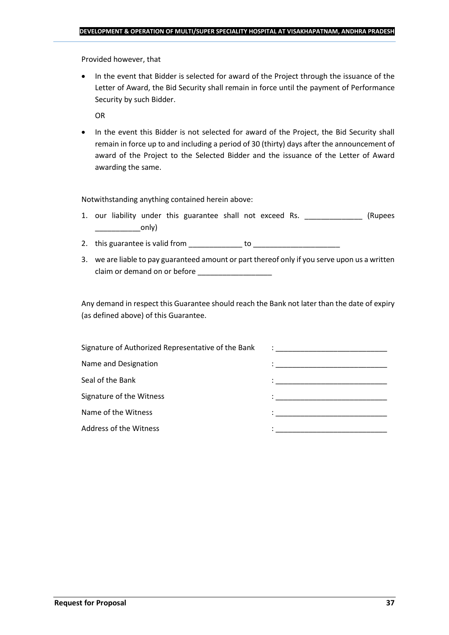Provided however, that

• In the event that Bidder is selected for award of the Project through the issuance of the Letter of Award, the Bid Security shall remain in force until the payment of Performance Security by such Bidder.

OR

• In the event this Bidder is not selected for award of the Project, the Bid Security shall remain in force up to and including a period of 30 (thirty) days after the announcement of award of the Project to the Selected Bidder and the issuance of the Letter of Award awarding the same.

Notwithstanding anything contained herein above:

- 1. our liability under this guarantee shall not exceed Rs. \_\_\_\_\_\_\_\_\_\_\_\_\_\_\_ (Rupees \_\_\_\_\_\_\_\_\_\_\_only)
- 2. this guarantee is valid from to be to to to the state of the state of the state of the state of the state o
- 3. we are liable to pay guaranteed amount or part thereof only if you serve upon us a written claim or demand on or before

Any demand in respect this Guarantee should reach the Bank not later than the date of expiry (as defined above) of this Guarantee.

| Signature of Authorized Representative of the Bank | $\ddot{\phantom{a}}$ : $\dot{\phantom{a}}$ , $\dot{\phantom{a}}$ , $\ddot{\phantom{a}}$ , $\ddot{\phantom{a}}$ , $\ddot{\phantom{a}}$ , $\ddot{\phantom{a}}$ , $\ddot{\phantom{a}}$ , $\ddot{\phantom{a}}$ , $\ddot{\phantom{a}}$ , $\ddot{\phantom{a}}$ , $\ddot{\phantom{a}}$ , $\ddot{\phantom{a}}$ , $\ddot{\phantom{a}}$ , $\ddot{\phantom{a}}$ , $\ddot{\phantom{a}}$ , |
|----------------------------------------------------|-------------------------------------------------------------------------------------------------------------------------------------------------------------------------------------------------------------------------------------------------------------------------------------------------------------------------------------------------------------------------------|
| Name and Designation                               |                                                                                                                                                                                                                                                                                                                                                                               |
| Seal of the Bank                                   | in the contract of the contract of the contract of the contract of the contract of the contract of the contract of                                                                                                                                                                                                                                                            |
| Signature of the Witness                           |                                                                                                                                                                                                                                                                                                                                                                               |
| Name of the Witness                                |                                                                                                                                                                                                                                                                                                                                                                               |
| Address of the Witness                             | the control of the control of the control of the control of the control of                                                                                                                                                                                                                                                                                                    |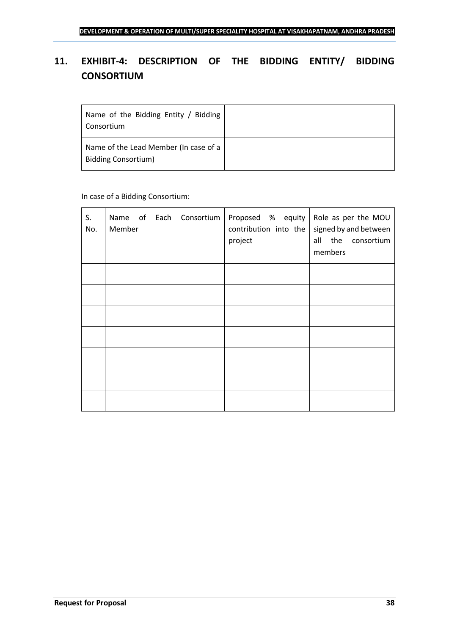## <span id="page-37-0"></span>**11. EXHIBIT-4: DESCRIPTION OF THE BIDDING ENTITY/ BIDDING CONSORTIUM**

| Name of the Bidding Entity / Bidding<br>Consortium                  |  |
|---------------------------------------------------------------------|--|
| Name of the Lead Member (In case of a<br><b>Bidding Consortium)</b> |  |

## In case of a Bidding Consortium:

| S.<br>No. | Name of Each Consortium   Proposed % equity   Role as per the MOU<br>Member | contribution into the<br>project | signed by and between<br>all the consortium<br>members |
|-----------|-----------------------------------------------------------------------------|----------------------------------|--------------------------------------------------------|
|           |                                                                             |                                  |                                                        |
|           |                                                                             |                                  |                                                        |
|           |                                                                             |                                  |                                                        |
|           |                                                                             |                                  |                                                        |
|           |                                                                             |                                  |                                                        |
|           |                                                                             |                                  |                                                        |
|           |                                                                             |                                  |                                                        |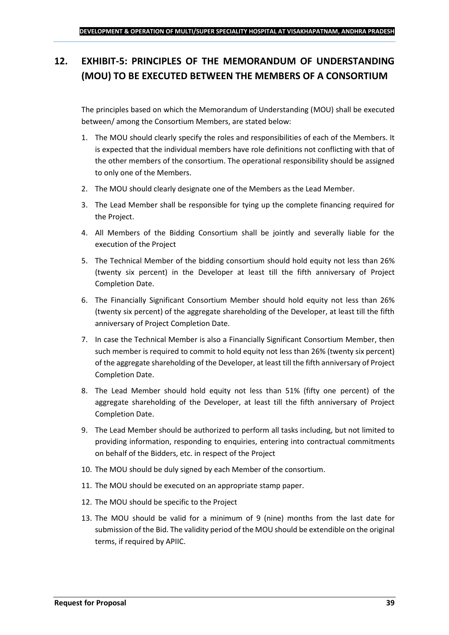## <span id="page-38-0"></span>**12. EXHIBIT-5: PRINCIPLES OF THE MEMORANDUM OF UNDERSTANDING (MOU) TO BE EXECUTED BETWEEN THE MEMBERS OF A CONSORTIUM**

The principles based on which the Memorandum of Understanding (MOU) shall be executed between/ among the Consortium Members, are stated below:

- 1. The MOU should clearly specify the roles and responsibilities of each of the Members. It is expected that the individual members have role definitions not conflicting with that of the other members of the consortium. The operational responsibility should be assigned to only one of the Members.
- 2. The MOU should clearly designate one of the Members as the Lead Member.
- 3. The Lead Member shall be responsible for tying up the complete financing required for the Project.
- 4. All Members of the Bidding Consortium shall be jointly and severally liable for the execution of the Project
- 5. The Technical Member of the bidding consortium should hold equity not less than 26% (twenty six percent) in the Developer at least till the fifth anniversary of Project Completion Date.
- 6. The Financially Significant Consortium Member should hold equity not less than 26% (twenty six percent) of the aggregate shareholding of the Developer, at least till the fifth anniversary of Project Completion Date.
- 7. In case the Technical Member is also a Financially Significant Consortium Member, then such member is required to commit to hold equity not less than 26% (twenty six percent) of the aggregate shareholding of the Developer, at least till the fifth anniversary of Project Completion Date.
- 8. The Lead Member should hold equity not less than 51% (fifty one percent) of the aggregate shareholding of the Developer, at least till the fifth anniversary of Project Completion Date.
- 9. The Lead Member should be authorized to perform all tasks including, but not limited to providing information, responding to enquiries, entering into contractual commitments on behalf of the Bidders, etc. in respect of the Project
- 10. The MOU should be duly signed by each Member of the consortium.
- 11. The MOU should be executed on an appropriate stamp paper.
- 12. The MOU should be specific to the Project
- 13. The MOU should be valid for a minimum of 9 (nine) months from the last date for submission of the Bid. The validity period of the MOU should be extendible on the original terms, if required by APIIC.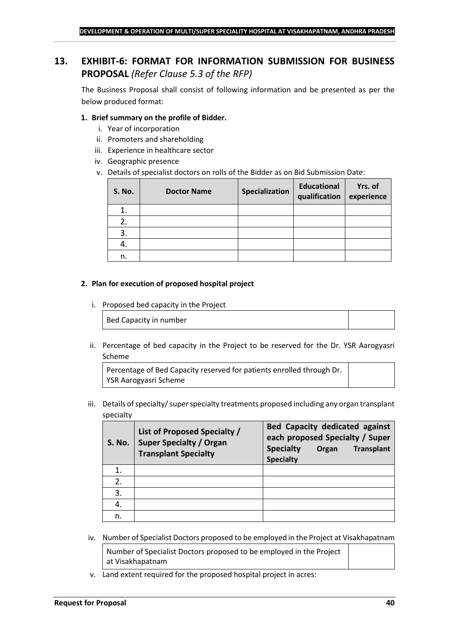## <span id="page-39-0"></span>**13. EXHIBIT-6: FORMAT FOR INFORMATION SUBMISSION FOR BUSINESS PROPOSAL** *(Refer Clause 5.3 of the RFP)*

The Business Proposal shall consist of following information and be presented as per the below produced format:

#### **1. Brief summary on the profile of Bidder.**

- i. Year of incorporation
- ii. Promoters and shareholding
- iii. Experience in healthcare sector
- iv. Geographic presence
- v. Details of specialist doctors on rolls of the Bidder as on Bid Submission Date:

| <b>S. No.</b> | <b>Doctor Name</b> | Specialization | <b>Educational</b><br>qualification | Yrs. of<br>experience |
|---------------|--------------------|----------------|-------------------------------------|-----------------------|
| 1.            |                    |                |                                     |                       |
| 2.            |                    |                |                                     |                       |
| 3.            |                    |                |                                     |                       |
| 4.            |                    |                |                                     |                       |
| n.            |                    |                |                                     |                       |

#### **2. Plan for execution of proposed hospital project**

i. Proposed bed capacity in the Project

Bed Capacity in number

ii. Percentage of bed capacity in the Project to be reserved for the Dr. YSR Aarogyasri Scheme

Percentage of Bed Capacity reserved for patients enrolled through Dr. YSR Aarogyasri Scheme

iii. Details of specialty/ super specialty treatments proposed including any organ transplant specialty

| <b>S. No.</b> | List of Proposed Specialty /<br><b>Super Specialty / Organ</b><br><b>Transplant Specialty</b> | <b>Bed Capacity dedicated against</b><br>each proposed Specialty / Super<br><b>Specialty</b><br><b>Transplant</b><br>Organ<br><b>Specialty</b> |
|---------------|-----------------------------------------------------------------------------------------------|------------------------------------------------------------------------------------------------------------------------------------------------|
|               |                                                                                               |                                                                                                                                                |
| 2.            |                                                                                               |                                                                                                                                                |
| 3.            |                                                                                               |                                                                                                                                                |
|               |                                                                                               |                                                                                                                                                |
| n.            |                                                                                               |                                                                                                                                                |

iv. Number of Specialist Doctors proposed to be employed in the Project at Visakhapatnam

Number of Specialist Doctors proposed to be employed in the Project at Visakhapatnam

v. Land extent required for the proposed hospital project in acres: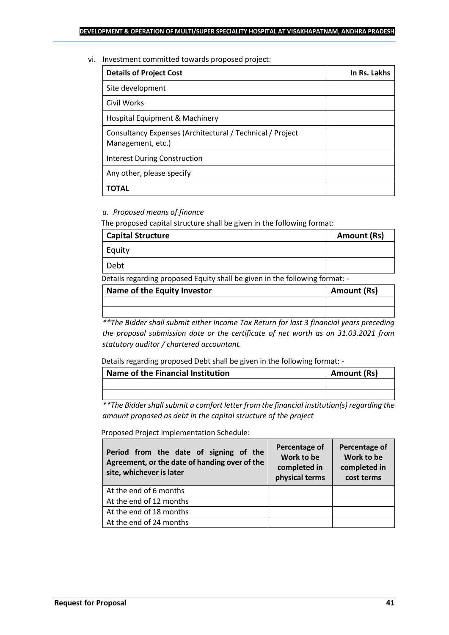vi. Investment committed towards proposed project:

| <b>Details of Project Cost</b>                                                 | In Rs. Lakhs |
|--------------------------------------------------------------------------------|--------------|
| Site development                                                               |              |
| Civil Works                                                                    |              |
| Hospital Equipment & Machinery                                                 |              |
| Consultancy Expenses (Architectural / Technical / Project<br>Management, etc.) |              |
| <b>Interest During Construction</b>                                            |              |
| Any other, please specify                                                      |              |
| TOTAL                                                                          |              |

## *a. Proposed means of finance*

The proposed capital structure shall be given in the following format:

| <b>Capital Structure</b> | Amount (Rs) |
|--------------------------|-------------|
| Equity                   |             |
| Debt                     |             |

Details regarding proposed Equity shall be given in the following format: -

| Name of the Equity Investor | Amount (Rs) |
|-----------------------------|-------------|
|                             |             |
|                             |             |

*\*\*The Bidder shall submit either Income Tax Return for last 3 financial years preceding the proposal submission date or the certificate of net worth as on 31.03.2021 from statutory auditor / chartered accountant.*

Details regarding proposed Debt shall be given in the following format: -

| Name of the Financial Institution | Amount (Rs) |
|-----------------------------------|-------------|
|                                   |             |
|                                   |             |

*\*\*The Bidder shall submit a comfort letter from the financial institution(s) regarding the amount proposed as debt in the capital structure of the project*

Proposed Project Implementation Schedule:

| Period from the date of signing of the<br>Agreement, or the date of handing over of the<br>site, whichever is later | Percentage of<br>Work to be<br>completed in<br>physical terms | Percentage of<br>Work to be<br>completed in<br>cost terms |
|---------------------------------------------------------------------------------------------------------------------|---------------------------------------------------------------|-----------------------------------------------------------|
| At the end of 6 months                                                                                              |                                                               |                                                           |
| At the end of 12 months                                                                                             |                                                               |                                                           |
| At the end of 18 months                                                                                             |                                                               |                                                           |
| At the end of 24 months                                                                                             |                                                               |                                                           |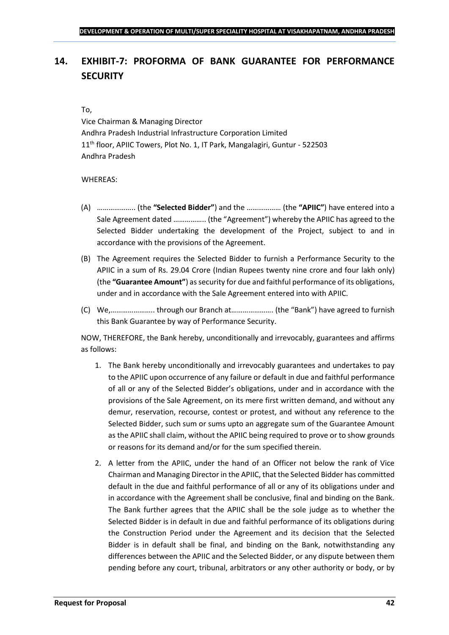## <span id="page-41-0"></span>**14. EXHIBIT-7: PROFORMA OF BANK GUARANTEE FOR PERFORMANCE SECURITY**

#### To,

Vice Chairman & Managing Director Andhra Pradesh Industrial Infrastructure Corporation Limited 11<sup>th</sup> floor, APIIC Towers, Plot No. 1, IT Park, Mangalagiri, Guntur - 522503 Andhra Pradesh

### WHEREAS:

- (A) ……………….. (the **"Selected Bidder"**) and the ……………… (the **"APIIC"**) have entered into a Sale Agreement dated …………….. (the "Agreement") whereby the APIIC has agreed to the Selected Bidder undertaking the development of the Project, subject to and in accordance with the provisions of the Agreement.
- (B) The Agreement requires the Selected Bidder to furnish a Performance Security to the APIIC in a sum of Rs. 29.04 Crore (Indian Rupees twenty nine crore and four lakh only) (the **"Guarantee Amount"**) as security for due and faithful performance of its obligations, under and in accordance with the Sale Agreement entered into with APIIC.
- (C) We,………………….. through our Branch at…………………. (the "Bank") have agreed to furnish this Bank Guarantee by way of Performance Security.

NOW, THEREFORE, the Bank hereby, unconditionally and irrevocably, guarantees and affirms as follows:

- 1. The Bank hereby unconditionally and irrevocably guarantees and undertakes to pay to the APIIC upon occurrence of any failure or default in due and faithful performance of all or any of the Selected Bidder's obligations, under and in accordance with the provisions of the Sale Agreement, on its mere first written demand, and without any demur, reservation, recourse, contest or protest, and without any reference to the Selected Bidder, such sum or sums upto an aggregate sum of the Guarantee Amount as the APIIC shall claim, without the APIIC being required to prove or to show grounds or reasons for its demand and/or for the sum specified therein.
- 2. A letter from the APIIC, under the hand of an Officer not below the rank of Vice Chairman and Managing Director in the APIIC, that the Selected Bidder has committed default in the due and faithful performance of all or any of its obligations under and in accordance with the Agreement shall be conclusive, final and binding on the Bank. The Bank further agrees that the APIIC shall be the sole judge as to whether the Selected Bidder is in default in due and faithful performance of its obligations during the Construction Period under the Agreement and its decision that the Selected Bidder is in default shall be final, and binding on the Bank, notwithstanding any differences between the APIIC and the Selected Bidder, or any dispute between them pending before any court, tribunal, arbitrators or any other authority or body, or by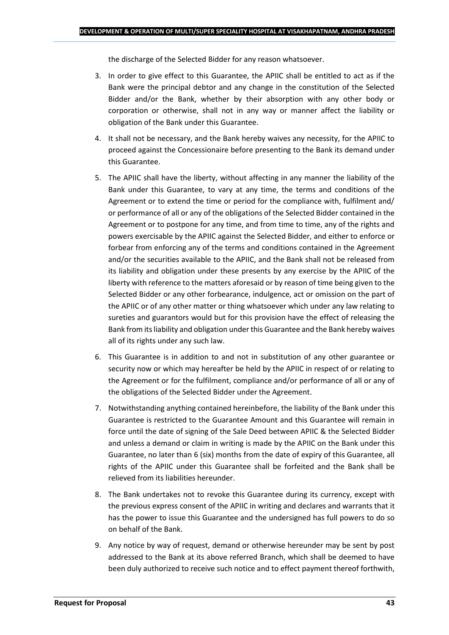the discharge of the Selected Bidder for any reason whatsoever.

- 3. In order to give effect to this Guarantee, the APIIC shall be entitled to act as if the Bank were the principal debtor and any change in the constitution of the Selected Bidder and/or the Bank, whether by their absorption with any other body or corporation or otherwise, shall not in any way or manner affect the liability or obligation of the Bank under this Guarantee.
- 4. It shall not be necessary, and the Bank hereby waives any necessity, for the APIIC to proceed against the Concessionaire before presenting to the Bank its demand under this Guarantee.
- 5. The APIIC shall have the liberty, without affecting in any manner the liability of the Bank under this Guarantee, to vary at any time, the terms and conditions of the Agreement or to extend the time or period for the compliance with, fulfilment and/ or performance of all or any of the obligations of the Selected Bidder contained in the Agreement or to postpone for any time, and from time to time, any of the rights and powers exercisable by the APIIC against the Selected Bidder, and either to enforce or forbear from enforcing any of the terms and conditions contained in the Agreement and/or the securities available to the APIIC, and the Bank shall not be released from its liability and obligation under these presents by any exercise by the APIIC of the liberty with reference to the matters aforesaid or by reason of time being given to the Selected Bidder or any other forbearance, indulgence, act or omission on the part of the APIIC or of any other matter or thing whatsoever which under any law relating to sureties and guarantors would but for this provision have the effect of releasing the Bank from its liability and obligation under this Guarantee and the Bank hereby waives all of its rights under any such law.
- 6. This Guarantee is in addition to and not in substitution of any other guarantee or security now or which may hereafter be held by the APIIC in respect of or relating to the Agreement or for the fulfilment, compliance and/or performance of all or any of the obligations of the Selected Bidder under the Agreement.
- 7. Notwithstanding anything contained hereinbefore, the liability of the Bank under this Guarantee is restricted to the Guarantee Amount and this Guarantee will remain in force until the date of signing of the Sale Deed between APIIC & the Selected Bidder and unless a demand or claim in writing is made by the APIIC on the Bank under this Guarantee, no later than 6 (six) months from the date of expiry of this Guarantee, all rights of the APIIC under this Guarantee shall be forfeited and the Bank shall be relieved from its liabilities hereunder.
- 8. The Bank undertakes not to revoke this Guarantee during its currency, except with the previous express consent of the APIIC in writing and declares and warrants that it has the power to issue this Guarantee and the undersigned has full powers to do so on behalf of the Bank.
- 9. Any notice by way of request, demand or otherwise hereunder may be sent by post addressed to the Bank at its above referred Branch, which shall be deemed to have been duly authorized to receive such notice and to effect payment thereof forthwith,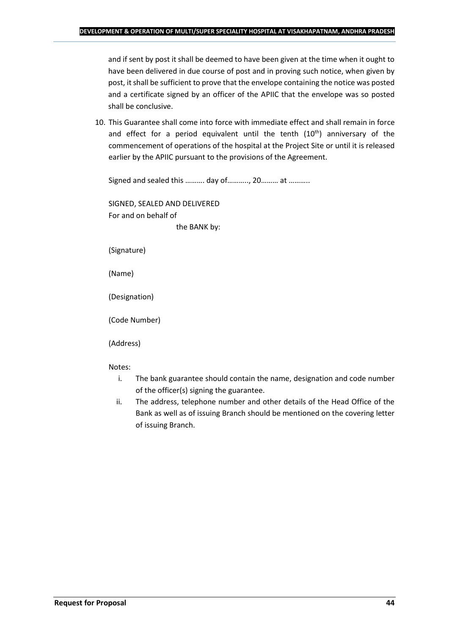and if sent by post it shall be deemed to have been given at the time when it ought to have been delivered in due course of post and in proving such notice, when given by post, it shall be sufficient to prove that the envelope containing the notice was posted and a certificate signed by an officer of the APIIC that the envelope was so posted shall be conclusive.

10. This Guarantee shall come into force with immediate effect and shall remain in force and effect for a period equivalent until the tenth (10<sup>th</sup>) anniversary of the commencement of operations of the hospital at the Project Site or until it is released earlier by the APIIC pursuant to the provisions of the Agreement.

Signed and sealed this .......... day of..........., 20......... at ...........

SIGNED, SEALED AND DELIVERED For and on behalf of the BANK by:

(Signature)

(Name)

(Designation)

(Code Number)

(Address)

Notes:

- i. The bank guarantee should contain the name, designation and code number of the officer(s) signing the guarantee.
- ii. The address, telephone number and other details of the Head Office of the Bank as well as of issuing Branch should be mentioned on the covering letter of issuing Branch.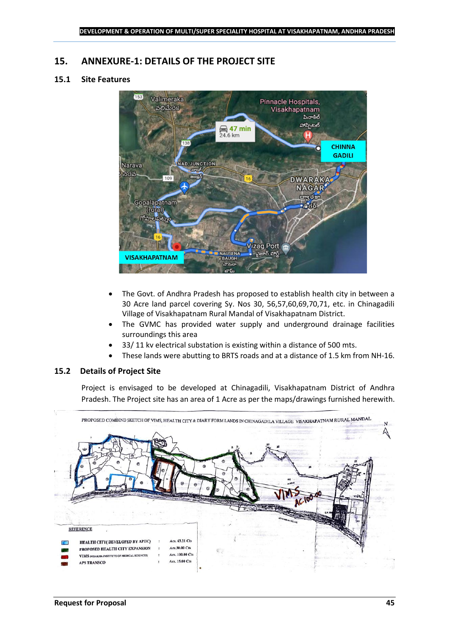## <span id="page-44-0"></span>**15. ANNEXURE-1: DETAILS OF THE PROJECT SITE**

## **15.1 Site Features**



- The Govt. of Andhra Pradesh has proposed to establish health city in between a 30 Acre land parcel covering Sy. Nos 30, 56,57,60,69,70,71, etc. in Chinagadili Village of Visakhapatnam Rural Mandal of Visakhapatnam District.
- The GVMC has provided water supply and underground drainage facilities surroundings this area
- 33/ 11 kv electrical substation is existing within a distance of 500 mts.
- These lands were abutting to BRTS roads and at a distance of 1.5 km from NH-16.

#### **15.2 Details of Project Site**

Project is envisaged to be developed at Chinagadili, Visakhapatnam District of Andhra Pradesh. The Project site has an area of 1 Acre as per the maps/drawings furnished herewith.

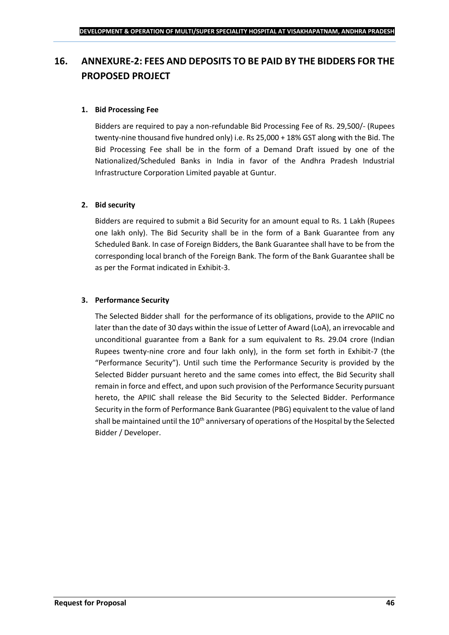## <span id="page-45-0"></span>**16. ANNEXURE-2: FEES AND DEPOSITS TO BE PAID BY THE BIDDERS FOR THE PROPOSED PROJECT**

## **1. Bid Processing Fee**

Bidders are required to pay a non-refundable Bid Processing Fee of Rs. 29,500/- (Rupees twenty-nine thousand five hundred only) i.e. Rs 25,000 + 18% GST along with the Bid. The Bid Processing Fee shall be in the form of a Demand Draft issued by one of the Nationalized/Scheduled Banks in India in favor of the Andhra Pradesh Industrial Infrastructure Corporation Limited payable at Guntur.

### **2. Bid security**

Bidders are required to submit a Bid Security for an amount equal to Rs. 1 Lakh (Rupees one lakh only). The Bid Security shall be in the form of a Bank Guarantee from any Scheduled Bank. In case of Foreign Bidders, the Bank Guarantee shall have to be from the corresponding local branch of the Foreign Bank. The form of the Bank Guarantee shall be as per the Format indicated in Exhibit-3.

### **3. Performance Security**

The Selected Bidder shall for the performance of its obligations, provide to the APIIC no later than the date of 30 days within the issue of Letter of Award (LoA), an irrevocable and unconditional guarantee from a Bank for a sum equivalent to Rs. 29.04 crore (Indian Rupees twenty-nine crore and four lakh only), in the form set forth in Exhibit-7 (the "Performance Security"). Until such time the Performance Security is provided by the Selected Bidder pursuant hereto and the same comes into effect, the Bid Security shall remain in force and effect, and upon such provision of the Performance Security pursuant hereto, the APIIC shall release the Bid Security to the Selected Bidder. Performance Security in the form of Performance Bank Guarantee (PBG) equivalent to the value of land shall be maintained until the  $10<sup>th</sup>$  anniversary of operations of the Hospital by the Selected Bidder / Developer.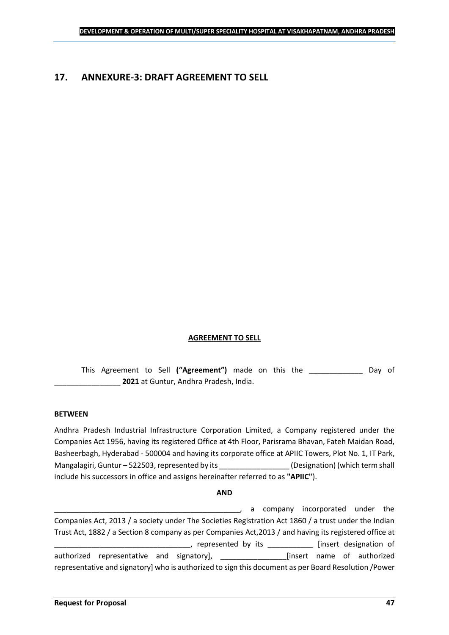## <span id="page-46-0"></span>**17. ANNEXURE-3: DRAFT AGREEMENT TO SELL**

#### **AGREEMENT TO SELL**

This Agreement to Sell **("Agreement")** made on this the \_\_\_\_\_\_\_\_\_\_\_\_\_ Day of \_\_\_\_\_\_\_\_\_\_\_\_\_\_\_\_ **2021** at Guntur, Andhra Pradesh, India.

#### **BETWEEN**

Andhra Pradesh Industrial Infrastructure Corporation Limited, a Company registered under the Companies Act 1956, having its registered Office at 4th Floor, Parisrama Bhavan, Fateh Maidan Road, Basheerbagh, Hyderabad - 500004 and having its corporate office at APIIC Towers, Plot No. 1, IT Park, Mangalagiri, Guntur – 522503, represented by its \_\_\_\_\_\_\_\_\_\_\_\_\_\_\_\_\_\_\_\_\_\_\_\_\_\_\_\_\_\_\_\_<br>(Designation) (which term shall include his successors in office and assigns hereinafter referred to as **"APIIC"**).

#### **AND**

\_\_\_\_\_\_\_\_\_\_\_\_\_\_\_\_\_\_\_\_\_\_\_\_\_\_\_\_\_\_\_\_\_\_\_\_\_\_\_\_\_\_\_\_\_, a company incorporated under the Companies Act, 2013 / a society under The Societies Registration Act 1860 / a trust under the Indian Trust Act, 1882 / a Section 8 company as per Companies Act,2013 / and having its registered office at \_\_\_\_\_, represented by its \_\_\_\_\_\_\_\_\_\_\_\_\_ [insert designation of authorized representative and signatory], \_\_\_\_\_\_\_\_\_\_\_\_\_\_\_\_[insert name of authorized representative and signatory] who is authorized to sign this document as per Board Resolution /Power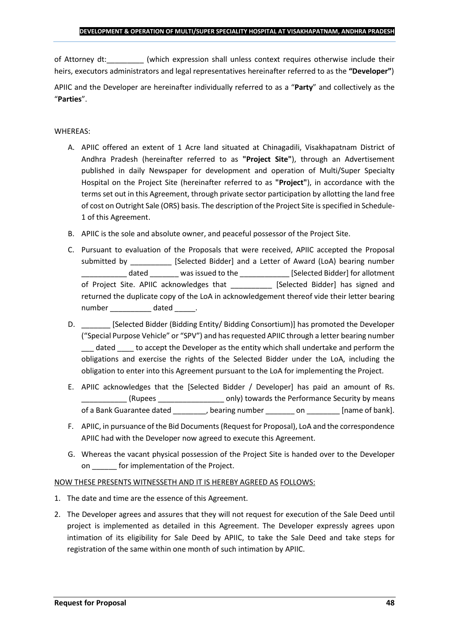of Attorney dt:  $\qquad \qquad$  (which expression shall unless context requires otherwise include their heirs, executors administrators and legal representatives hereinafter referred to as the **"Developer"**)

APIIC and the Developer are hereinafter individually referred to as a "**Party**" and collectively as the "**Parties**".

## WHEREAS:

- A. APIIC offered an extent of 1 Acre land situated at Chinagadili, Visakhapatnam District of Andhra Pradesh (hereinafter referred to as **"Project Site"**), through an Advertisement published in daily Newspaper for development and operation of Multi/Super Specialty Hospital on the Project Site (hereinafter referred to as **"Project"**), in accordance with the terms set out in this Agreement, through private sector participation by allotting the land free of cost on Outright Sale (ORS) basis. The description of the Project Site is specified in Schedule-1 of this Agreement.
- B. APIIC is the sole and absolute owner, and peaceful possessor of the Project Site.
- C. Pursuant to evaluation of the Proposals that were received, APIIC accepted the Proposal submitted by [Selected Bidder] and a Letter of Award (LoA) bearing number \_\_\_\_\_\_\_\_\_\_\_ dated \_\_\_\_\_\_\_ was issued to the \_\_\_\_\_\_\_\_\_\_\_\_ [Selected Bidder] for allotment of Project Site. APIIC acknowledges that [Selected Bidder] has signed and returned the duplicate copy of the LoA in acknowledgement thereof vide their letter bearing number dated the dated and the dated the set of  $\alpha$
- D. \_\_\_\_\_\_\_ [Selected Bidder (Bidding Entity/ Bidding Consortium)] has promoted the Developer ("Special Purpose Vehicle" or "SPV") and has requested APIIC through a letter bearing number dated to accept the Developer as the entity which shall undertake and perform the obligations and exercise the rights of the Selected Bidder under the LoA, including the obligation to enter into this Agreement pursuant to the LoA for implementing the Project.
- E. APIIC acknowledges that the [Selected Bidder / Developer] has paid an amount of Rs. \_\_\_\_\_\_\_\_\_\_\_ (Rupees \_\_\_\_\_\_\_\_\_\_\_\_\_\_\_\_ only) towards the Performance Security by means of a Bank Guarantee dated bearing number on the lame of bank].
- F. APIIC, in pursuance of the Bid Documents (Request for Proposal), LoA and the correspondence APIIC had with the Developer now agreed to execute this Agreement.
- G. Whereas the vacant physical possession of the Project Site is handed over to the Developer on \_\_\_\_\_\_ for implementation of the Project.

## NOW THESE PRESENTS WITNESSETH AND IT IS HEREBY AGREED AS FOLLOWS:

- 1. The date and time are the essence of this Agreement.
- 2. The Developer agrees and assures that they will not request for execution of the Sale Deed until project is implemented as detailed in this Agreement. The Developer expressly agrees upon intimation of its eligibility for Sale Deed by APIIC, to take the Sale Deed and take steps for registration of the same within one month of such intimation by APIIC.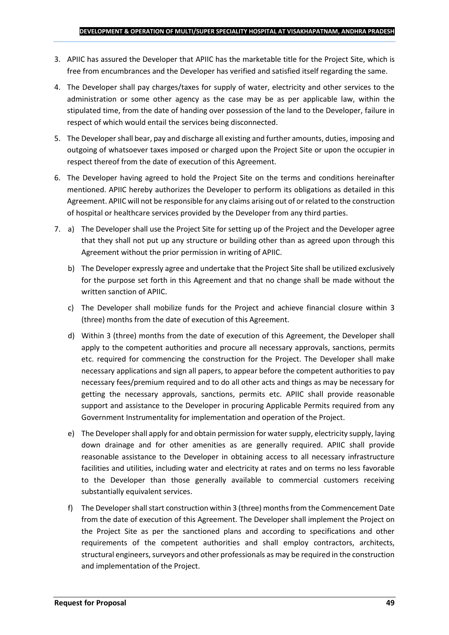- 3. APIIC has assured the Developer that APIIC has the marketable title for the Project Site, which is free from encumbrances and the Developer has verified and satisfied itself regarding the same.
- 4. The Developer shall pay charges/taxes for supply of water, electricity and other services to the administration or some other agency as the case may be as per applicable law, within the stipulated time, from the date of handing over possession of the land to the Developer, failure in respect of which would entail the services being disconnected.
- 5. The Developer shall bear, pay and discharge all existing and further amounts, duties, imposing and outgoing of whatsoever taxes imposed or charged upon the Project Site or upon the occupier in respect thereof from the date of execution of this Agreement.
- 6. The Developer having agreed to hold the Project Site on the terms and conditions hereinafter mentioned. APIIC hereby authorizes the Developer to perform its obligations as detailed in this Agreement. APIIC will not be responsible for any claims arising out of or related to the construction of hospital or healthcare services provided by the Developer from any third parties.
- 7. a) The Developer shall use the Project Site for setting up of the Project and the Developer agree that they shall not put up any structure or building other than as agreed upon through this Agreement without the prior permission in writing of APIIC.
	- b) The Developer expressly agree and undertake that the Project Site shall be utilized exclusively for the purpose set forth in this Agreement and that no change shall be made without the written sanction of APIIC.
	- c) The Developer shall mobilize funds for the Project and achieve financial closure within 3 (three) months from the date of execution of this Agreement.
	- d) Within 3 (three) months from the date of execution of this Agreement, the Developer shall apply to the competent authorities and procure all necessary approvals, sanctions, permits etc. required for commencing the construction for the Project. The Developer shall make necessary applications and sign all papers, to appear before the competent authorities to pay necessary fees/premium required and to do all other acts and things as may be necessary for getting the necessary approvals, sanctions, permits etc. APIIC shall provide reasonable support and assistance to the Developer in procuring Applicable Permits required from any Government Instrumentality for implementation and operation of the Project.
	- e) The Developer shall apply for and obtain permission for water supply, electricity supply, laying down drainage and for other amenities as are generally required. APIIC shall provide reasonable assistance to the Developer in obtaining access to all necessary infrastructure facilities and utilities, including water and electricity at rates and on terms no less favorable to the Developer than those generally available to commercial customers receiving substantially equivalent services.
	- f) The Developer shall start construction within 3 (three) months from the Commencement Date from the date of execution of this Agreement. The Developer shall implement the Project on the Project Site as per the sanctioned plans and according to specifications and other requirements of the competent authorities and shall employ contractors, architects, structural engineers, surveyors and other professionals as may be required in the construction and implementation of the Project.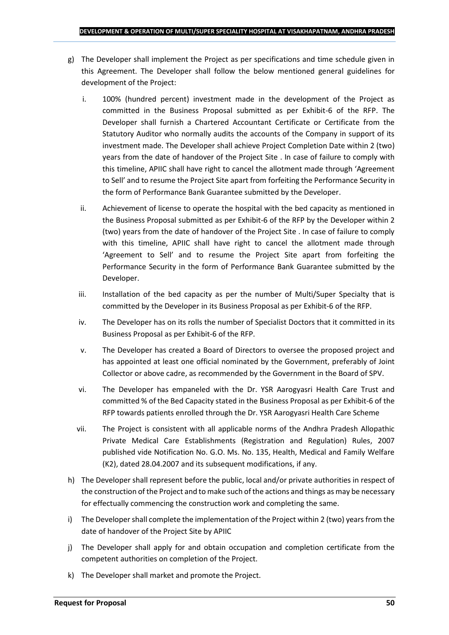- g) The Developer shall implement the Project as per specifications and time schedule given in this Agreement. The Developer shall follow the below mentioned general guidelines for development of the Project:
	- i. 100% (hundred percent) investment made in the development of the Project as committed in the Business Proposal submitted as per Exhibit-6 of the RFP. The Developer shall furnish a Chartered Accountant Certificate or Certificate from the Statutory Auditor who normally audits the accounts of the Company in support of its investment made. The Developer shall achieve Project Completion Date within 2 (two) years from the date of handover of the Project Site . In case of failure to comply with this timeline, APIIC shall have right to cancel the allotment made through 'Agreement to Sell' and to resume the Project Site apart from forfeiting the Performance Security in the form of Performance Bank Guarantee submitted by the Developer.
	- ii. Achievement of license to operate the hospital with the bed capacity as mentioned in the Business Proposal submitted as per Exhibit-6 of the RFP by the Developer within 2 (two) years from the date of handover of the Project Site . In case of failure to comply with this timeline, APIIC shall have right to cancel the allotment made through 'Agreement to Sell' and to resume the Project Site apart from forfeiting the Performance Security in the form of Performance Bank Guarantee submitted by the Developer.
	- iii. Installation of the bed capacity as per the number of Multi/Super Specialty that is committed by the Developer in its Business Proposal as per Exhibit-6 of the RFP.
	- iv. The Developer has on its rolls the number of Specialist Doctors that it committed in its Business Proposal as per Exhibit-6 of the RFP.
	- v. The Developer has created a Board of Directors to oversee the proposed project and has appointed at least one official nominated by the Government, preferably of Joint Collector or above cadre, as recommended by the Government in the Board of SPV.
	- vi. The Developer has empaneled with the Dr. YSR Aarogyasri Health Care Trust and committed % of the Bed Capacity stated in the Business Proposal as per Exhibit-6 of the RFP towards patients enrolled through the Dr. YSR Aarogyasri Health Care Scheme
	- vii. The Project is consistent with all applicable norms of the Andhra Pradesh Allopathic Private Medical Care Establishments (Registration and Regulation) Rules, 2007 published vide Notification No. G.O. Ms. No. 135, Health, Medical and Family Welfare (K2), dated 28.04.2007 and its subsequent modifications, if any.
- h) The Developer shall represent before the public, local and/or private authorities in respect of the construction of the Project and to make such of the actions and things as may be necessary for effectually commencing the construction work and completing the same.
- i) The Developer shall complete the implementation of the Project within 2 (two) years from the date of handover of the Project Site by APIIC
- j) The Developer shall apply for and obtain occupation and completion certificate from the competent authorities on completion of the Project.
- k) The Developer shall market and promote the Project.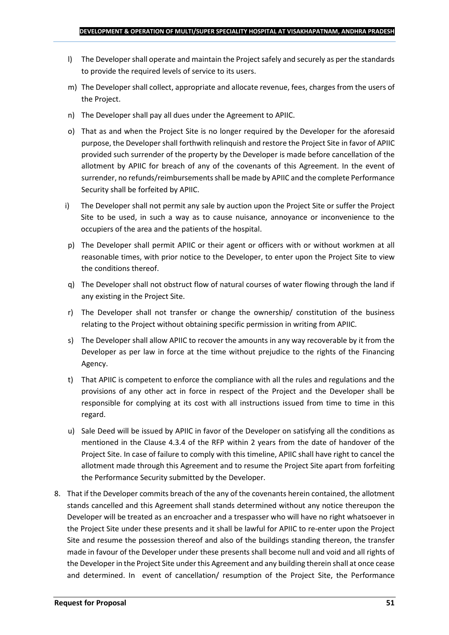- l) The Developer shall operate and maintain the Project safely and securely as per the standards to provide the required levels of service to its users.
- m) The Developer shall collect, appropriate and allocate revenue, fees, charges from the users of the Project.
- n) The Developer shall pay all dues under the Agreement to APIIC.
- o) That as and when the Project Site is no longer required by the Developer for the aforesaid purpose, the Developer shall forthwith relinquish and restore the Project Site in favor of APIIC provided such surrender of the property by the Developer is made before cancellation of the allotment by APIIC for breach of any of the covenants of this Agreement. In the event of surrender, no refunds/reimbursements shall be made by APIIC and the complete Performance Security shall be forfeited by APIIC.
- i) The Developer shall not permit any sale by auction upon the Project Site or suffer the Project Site to be used, in such a way as to cause nuisance, annoyance or inconvenience to the occupiers of the area and the patients of the hospital.
- p) The Developer shall permit APIIC or their agent or officers with or without workmen at all reasonable times, with prior notice to the Developer, to enter upon the Project Site to view the conditions thereof.
- q) The Developer shall not obstruct flow of natural courses of water flowing through the land if any existing in the Project Site.
- r) The Developer shall not transfer or change the ownership/ constitution of the business relating to the Project without obtaining specific permission in writing from APIIC.
- s) The Developer shall allow APIIC to recover the amounts in any way recoverable by it from the Developer as per law in force at the time without prejudice to the rights of the Financing Agency.
- t) That APIIC is competent to enforce the compliance with all the rules and regulations and the provisions of any other act in force in respect of the Project and the Developer shall be responsible for complying at its cost with all instructions issued from time to time in this regard.
- u) Sale Deed will be issued by APIIC in favor of the Developer on satisfying all the conditions as mentioned in the Clause 4.3.4 of the RFP within 2 years from the date of handover of the Project Site. In case of failure to comply with this timeline, APIIC shall have right to cancel the allotment made through this Agreement and to resume the Project Site apart from forfeiting the Performance Security submitted by the Developer.
- 8. That if the Developer commits breach of the any of the covenants herein contained, the allotment stands cancelled and this Agreement shall stands determined without any notice thereupon the Developer will be treated as an encroacher and a trespasser who will have no right whatsoever in the Project Site under these presents and it shall be lawful for APIIC to re-enter upon the Project Site and resume the possession thereof and also of the buildings standing thereon, the transfer made in favour of the Developer under these presents shall become null and void and all rights of the Developer in the Project Site under this Agreement and any building therein shall at once cease and determined. In event of cancellation/ resumption of the Project Site, the Performance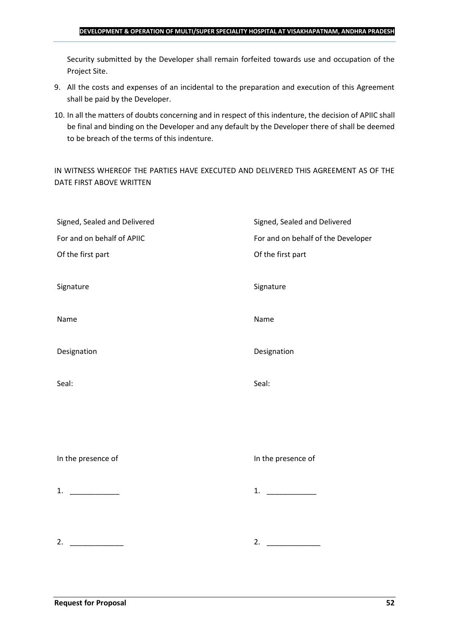#### **DEVELOPMENT & OPERATION OF MULTI/SUPER SPECIALITY HOSPITAL AT VISAKHAPATNAM, ANDHRA PRADESH**

Security submitted by the Developer shall remain forfeited towards use and occupation of the Project Site.

- 9. All the costs and expenses of an incidental to the preparation and execution of this Agreement shall be paid by the Developer.
- 10. In all the matters of doubts concerning and in respect of this indenture, the decision of APIIC shall be final and binding on the Developer and any default by the Developer there of shall be deemed to be breach of the terms of this indenture.

IN WITNESS WHEREOF THE PARTIES HAVE EXECUTED AND DELIVERED THIS AGREEMENT AS OF THE DATE FIRST ABOVE WRITTEN

| Signed, Sealed and Delivered | Signed, Sealed and Delivered       |
|------------------------------|------------------------------------|
| For and on behalf of APIIC   | For and on behalf of the Developer |
| Of the first part            | Of the first part                  |
|                              |                                    |
| Signature                    | Signature                          |
|                              |                                    |
| Name                         | Name                               |
|                              |                                    |
| Designation                  | Designation                        |
|                              |                                    |
| Seal:                        | Seal:                              |
|                              |                                    |
|                              |                                    |
|                              |                                    |
| In the presence of           | In the presence of                 |
|                              |                                    |
| 1. $\qquad$                  | 1.                                 |
|                              |                                    |
|                              |                                    |
| 2.                           | 2.                                 |
|                              |                                    |